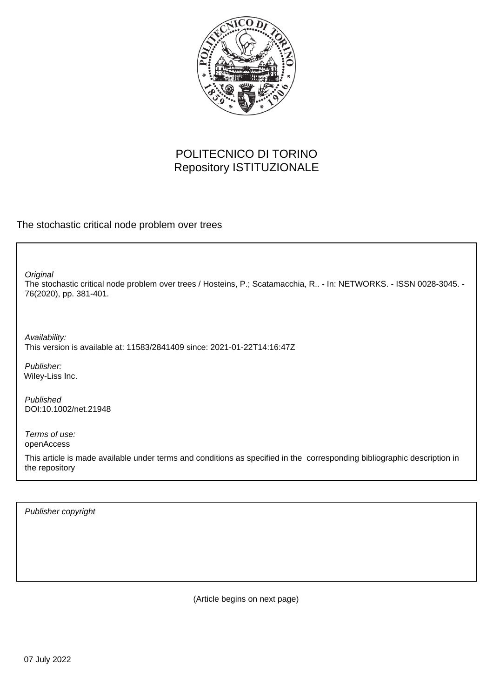

# POLITECNICO DI TORINO Repository ISTITUZIONALE

The stochastic critical node problem over trees

**Original** 

The stochastic critical node problem over trees / Hosteins, P.; Scatamacchia, R.. - In: NETWORKS. - ISSN 0028-3045. - 76(2020), pp. 381-401.

Availability: This version is available at: 11583/2841409 since: 2021-01-22T14:16:47Z

Publisher: Wiley-Liss Inc.

Published DOI:10.1002/net.21948

Terms of use: openAccess

This article is made available under terms and conditions as specified in the corresponding bibliographic description in the repository

Publisher copyright

(Article begins on next page)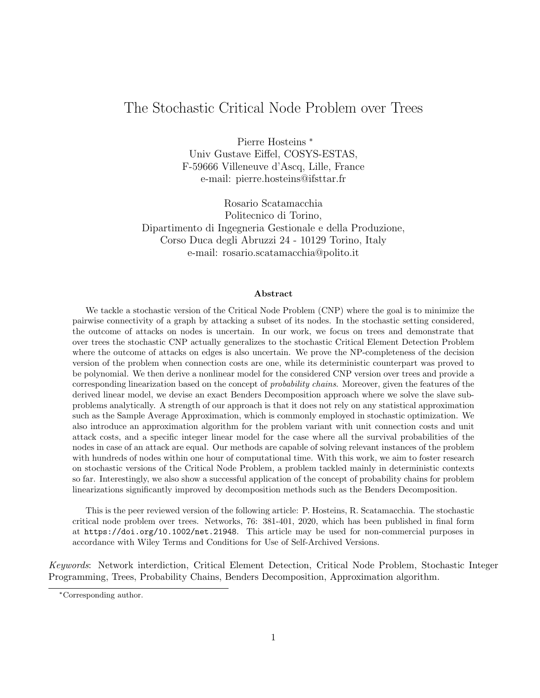# The Stochastic Critical Node Problem over Trees

Pierre Hosteins \* Univ Gustave Eiffel, COSYS-ESTAS, F-59666 Villeneuve d'Ascq, Lille, France e-mail: pierre.hosteins@ifsttar.fr

Rosario Scatamacchia Politecnico di Torino, Dipartimento di Ingegneria Gestionale e della Produzione, Corso Duca degli Abruzzi 24 - 10129 Torino, Italy e-mail: rosario.scatamacchia@polito.it

#### Abstract

We tackle a stochastic version of the Critical Node Problem (CNP) where the goal is to minimize the pairwise connectivity of a graph by attacking a subset of its nodes. In the stochastic setting considered, the outcome of attacks on nodes is uncertain. In our work, we focus on trees and demonstrate that over trees the stochastic CNP actually generalizes to the stochastic Critical Element Detection Problem where the outcome of attacks on edges is also uncertain. We prove the NP-completeness of the decision version of the problem when connection costs are one, while its deterministic counterpart was proved to be polynomial. We then derive a nonlinear model for the considered CNP version over trees and provide a corresponding linearization based on the concept of probability chains. Moreover, given the features of the derived linear model, we devise an exact Benders Decomposition approach where we solve the slave subproblems analytically. A strength of our approach is that it does not rely on any statistical approximation such as the Sample Average Approximation, which is commonly employed in stochastic optimization. We also introduce an approximation algorithm for the problem variant with unit connection costs and unit attack costs, and a specific integer linear model for the case where all the survival probabilities of the nodes in case of an attack are equal. Our methods are capable of solving relevant instances of the problem with hundreds of nodes within one hour of computational time. With this work, we aim to foster research on stochastic versions of the Critical Node Problem, a problem tackled mainly in deterministic contexts so far. Interestingly, we also show a successful application of the concept of probability chains for problem linearizations significantly improved by decomposition methods such as the Benders Decomposition.

This is the peer reviewed version of the following article: P. Hosteins, R. Scatamacchia. The stochastic critical node problem over trees. Networks, 76: 381-401, 2020, which has been published in final form at https://doi.org/10.1002/net.21948. This article may be used for non-commercial purposes in accordance with Wiley Terms and Conditions for Use of Self-Archived Versions.

Keywords: Network interdiction, Critical Element Detection, Critical Node Problem, Stochastic Integer Programming, Trees, Probability Chains, Benders Decomposition, Approximation algorithm.

<sup>\*</sup>Corresponding author.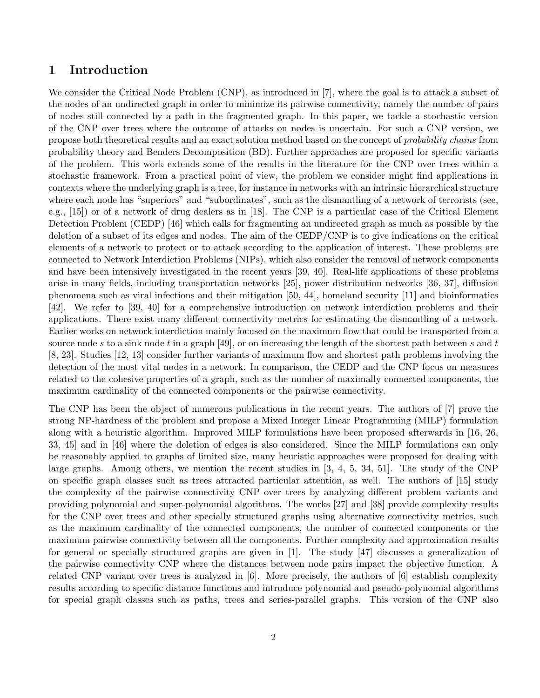### 1 Introduction

We consider the Critical Node Problem (CNP), as introduced in [7], where the goal is to attack a subset of the nodes of an undirected graph in order to minimize its pairwise connectivity, namely the number of pairs of nodes still connected by a path in the fragmented graph. In this paper, we tackle a stochastic version of the CNP over trees where the outcome of attacks on nodes is uncertain. For such a CNP version, we propose both theoretical results and an exact solution method based on the concept of probability chains from probability theory and Benders Decomposition (BD). Further approaches are proposed for specific variants of the problem. This work extends some of the results in the literature for the CNP over trees within a stochastic framework. From a practical point of view, the problem we consider might find applications in contexts where the underlying graph is a tree, for instance in networks with an intrinsic hierarchical structure where each node has "superiors" and "subordinates", such as the dismantling of a network of terrorists (see, e.g., [15]) or of a network of drug dealers as in [18]. The CNP is a particular case of the Critical Element Detection Problem (CEDP) [46] which calls for fragmenting an undirected graph as much as possible by the deletion of a subset of its edges and nodes. The aim of the CEDP/CNP is to give indications on the critical elements of a network to protect or to attack according to the application of interest. These problems are connected to Network Interdiction Problems (NIPs), which also consider the removal of network components and have been intensively investigated in the recent years [39, 40]. Real-life applications of these problems arise in many fields, including transportation networks [25], power distribution networks [36, 37], diffusion phenomena such as viral infections and their mitigation [50, 44], homeland security [11] and bioinformatics [42]. We refer to [39, 40] for a comprehensive introduction on network interdiction problems and their applications. There exist many different connectivity metrics for estimating the dismantling of a network. Earlier works on network interdiction mainly focused on the maximum flow that could be transported from a source node s to a sink node t in a graph [49], or on increasing the length of the shortest path between s and t [8, 23]. Studies [12, 13] consider further variants of maximum flow and shortest path problems involving the detection of the most vital nodes in a network. In comparison, the CEDP and the CNP focus on measures related to the cohesive properties of a graph, such as the number of maximally connected components, the maximum cardinality of the connected components or the pairwise connectivity.

The CNP has been the object of numerous publications in the recent years. The authors of [7] prove the strong NP-hardness of the problem and propose a Mixed Integer Linear Programming (MILP) formulation along with a heuristic algorithm. Improved MILP formulations have been proposed afterwards in [16, 26, 33, 45] and in [46] where the deletion of edges is also considered. Since the MILP formulations can only be reasonably applied to graphs of limited size, many heuristic approaches were proposed for dealing with large graphs. Among others, we mention the recent studies in [3, 4, 5, 34, 51]. The study of the CNP on specific graph classes such as trees attracted particular attention, as well. The authors of [15] study the complexity of the pairwise connectivity CNP over trees by analyzing different problem variants and providing polynomial and super-polynomial algorithms. The works [27] and [38] provide complexity results for the CNP over trees and other specially structured graphs using alternative connectivity metrics, such as the maximum cardinality of the connected components, the number of connected components or the maximum pairwise connectivity between all the components. Further complexity and approximation results for general or specially structured graphs are given in [1]. The study [47] discusses a generalization of the pairwise connectivity CNP where the distances between node pairs impact the objective function. A related CNP variant over trees is analyzed in [6]. More precisely, the authors of [6] establish complexity results according to specific distance functions and introduce polynomial and pseudo-polynomial algorithms for special graph classes such as paths, trees and series-parallel graphs. This version of the CNP also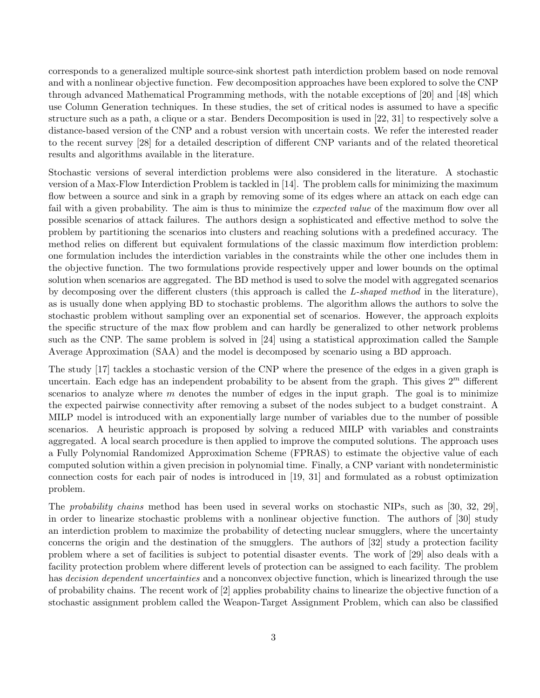corresponds to a generalized multiple source-sink shortest path interdiction problem based on node removal and with a nonlinear objective function. Few decomposition approaches have been explored to solve the CNP through advanced Mathematical Programming methods, with the notable exceptions of [20] and [48] which use Column Generation techniques. In these studies, the set of critical nodes is assumed to have a specific structure such as a path, a clique or a star. Benders Decomposition is used in [22, 31] to respectively solve a distance-based version of the CNP and a robust version with uncertain costs. We refer the interested reader to the recent survey [28] for a detailed description of different CNP variants and of the related theoretical results and algorithms available in the literature.

Stochastic versions of several interdiction problems were also considered in the literature. A stochastic version of a Max-Flow Interdiction Problem is tackled in [14]. The problem calls for minimizing the maximum flow between a source and sink in a graph by removing some of its edges where an attack on each edge can fail with a given probability. The aim is thus to minimize the *expected value* of the maximum flow over all possible scenarios of attack failures. The authors design a sophisticated and effective method to solve the problem by partitioning the scenarios into clusters and reaching solutions with a predefined accuracy. The method relies on different but equivalent formulations of the classic maximum flow interdiction problem: one formulation includes the interdiction variables in the constraints while the other one includes them in the objective function. The two formulations provide respectively upper and lower bounds on the optimal solution when scenarios are aggregated. The BD method is used to solve the model with aggregated scenarios by decomposing over the different clusters (this approach is called the L-shaped method in the literature), as is usually done when applying BD to stochastic problems. The algorithm allows the authors to solve the stochastic problem without sampling over an exponential set of scenarios. However, the approach exploits the specific structure of the max flow problem and can hardly be generalized to other network problems such as the CNP. The same problem is solved in [24] using a statistical approximation called the Sample Average Approximation (SAA) and the model is decomposed by scenario using a BD approach.

The study [17] tackles a stochastic version of the CNP where the presence of the edges in a given graph is uncertain. Each edge has an independent probability to be absent from the graph. This gives  $2^m$  different scenarios to analyze where  $m$  denotes the number of edges in the input graph. The goal is to minimize the expected pairwise connectivity after removing a subset of the nodes subject to a budget constraint. A MILP model is introduced with an exponentially large number of variables due to the number of possible scenarios. A heuristic approach is proposed by solving a reduced MILP with variables and constraints aggregated. A local search procedure is then applied to improve the computed solutions. The approach uses a Fully Polynomial Randomized Approximation Scheme (FPRAS) to estimate the objective value of each computed solution within a given precision in polynomial time. Finally, a CNP variant with nondeterministic connection costs for each pair of nodes is introduced in [19, 31] and formulated as a robust optimization problem.

The probability chains method has been used in several works on stochastic NIPs, such as [30, 32, 29], in order to linearize stochastic problems with a nonlinear objective function. The authors of [30] study an interdiction problem to maximize the probability of detecting nuclear smugglers, where the uncertainty concerns the origin and the destination of the smugglers. The authors of [32] study a protection facility problem where a set of facilities is subject to potential disaster events. The work of [29] also deals with a facility protection problem where different levels of protection can be assigned to each facility. The problem has *decision dependent uncertainties* and a nonconvex objective function, which is linearized through the use of probability chains. The recent work of [2] applies probability chains to linearize the objective function of a stochastic assignment problem called the Weapon-Target Assignment Problem, which can also be classified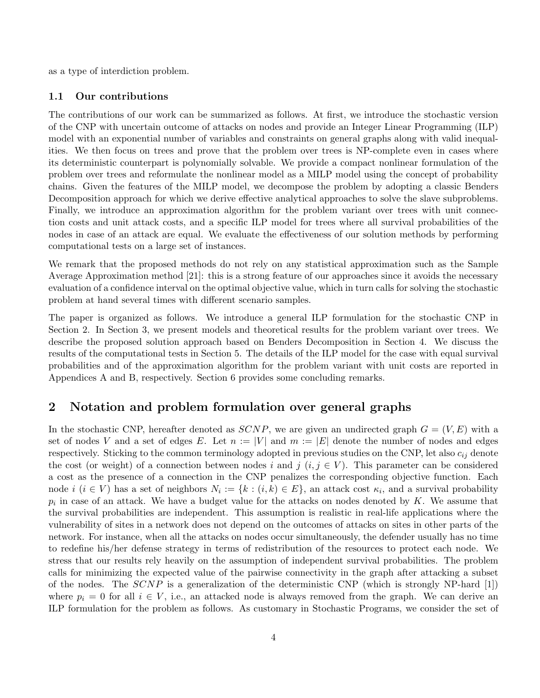as a type of interdiction problem.

### 1.1 Our contributions

The contributions of our work can be summarized as follows. At first, we introduce the stochastic version of the CNP with uncertain outcome of attacks on nodes and provide an Integer Linear Programming (ILP) model with an exponential number of variables and constraints on general graphs along with valid inequalities. We then focus on trees and prove that the problem over trees is NP-complete even in cases where its deterministic counterpart is polynomially solvable. We provide a compact nonlinear formulation of the problem over trees and reformulate the nonlinear model as a MILP model using the concept of probability chains. Given the features of the MILP model, we decompose the problem by adopting a classic Benders Decomposition approach for which we derive effective analytical approaches to solve the slave subproblems. Finally, we introduce an approximation algorithm for the problem variant over trees with unit connection costs and unit attack costs, and a specific ILP model for trees where all survival probabilities of the nodes in case of an attack are equal. We evaluate the effectiveness of our solution methods by performing computational tests on a large set of instances.

We remark that the proposed methods do not rely on any statistical approximation such as the Sample Average Approximation method [21]: this is a strong feature of our approaches since it avoids the necessary evaluation of a confidence interval on the optimal objective value, which in turn calls for solving the stochastic problem at hand several times with different scenario samples.

The paper is organized as follows. We introduce a general ILP formulation for the stochastic CNP in Section 2. In Section 3, we present models and theoretical results for the problem variant over trees. We describe the proposed solution approach based on Benders Decomposition in Section 4. We discuss the results of the computational tests in Section 5. The details of the ILP model for the case with equal survival probabilities and of the approximation algorithm for the problem variant with unit costs are reported in Appendices A and B, respectively. Section 6 provides some concluding remarks.

## 2 Notation and problem formulation over general graphs

In the stochastic CNP, hereafter denoted as  $SCNP$ , we are given an undirected graph  $G = (V, E)$  with a set of nodes V and a set of edges E. Let  $n := |V|$  and  $m := |E|$  denote the number of nodes and edges respectively. Sticking to the common terminology adopted in previous studies on the CNP, let also  $c_{ij}$  denote the cost (or weight) of a connection between nodes i and j  $(i, j \in V)$ . This parameter can be considered a cost as the presence of a connection in the CNP penalizes the corresponding objective function. Each node  $i$   $(i \in V)$  has a set of neighbors  $N_i := \{k : (i,k) \in E\}$ , an attack cost  $\kappa_i$ , and a survival probability  $p_i$  in case of an attack. We have a budget value for the attacks on nodes denoted by K. We assume that the survival probabilities are independent. This assumption is realistic in real-life applications where the vulnerability of sites in a network does not depend on the outcomes of attacks on sites in other parts of the network. For instance, when all the attacks on nodes occur simultaneously, the defender usually has no time to redefine his/her defense strategy in terms of redistribution of the resources to protect each node. We stress that our results rely heavily on the assumption of independent survival probabilities. The problem calls for minimizing the expected value of the pairwise connectivity in the graph after attacking a subset of the nodes. The  $SCNP$  is a generalization of the deterministic CNP (which is strongly NP-hard [1]) where  $p_i = 0$  for all  $i \in V$ , i.e., an attacked node is always removed from the graph. We can derive an ILP formulation for the problem as follows. As customary in Stochastic Programs, we consider the set of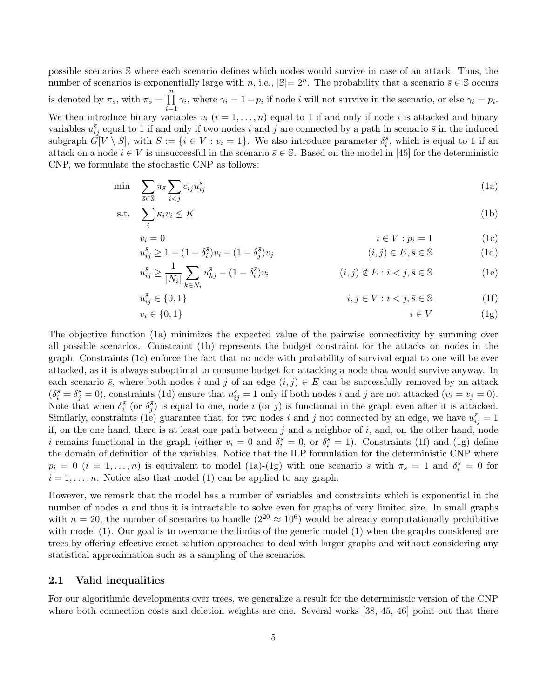possible scenarios S where each scenario defines which nodes would survive in case of an attack. Thus, the number of scenarios is exponentially large with n, i.e.,  $|\mathbb{S}| = 2^n$ . The probability that a scenario  $\bar{s} \in \mathbb{S}$  occurs is denoted by  $\pi_{\bar{s}}$ , with  $\pi_{\bar{s}} = \prod_{i=1}^{n}$  $i=1$  $\gamma_i$ , where  $\gamma_i = 1 - p_i$  if node *i* will not survive in the scenario, or else  $\gamma_i = p_i$ . We then introduce binary variables  $v_i$   $(i = 1, \ldots, n)$  equal to 1 if and only if node i is attacked and binary variables  $u_{ij}^{\bar{s}}$  equal to 1 if and only if two nodes i and j are connected by a path in scenario  $\bar{s}$  in the induced subgraph  $\tilde{G}[V \setminus S]$ , with  $S := \{i \in V : v_i = 1\}$ . We also introduce parameter  $\delta_i^{\bar{s}}$ , which is equal to 1 if an attack on a node  $i \in V$  is unsuccessful in the scenario  $\bar{s} \in \mathbb{S}$ . Based on the model in [45] for the deterministic CNP, we formulate the stochastic CNP as follows:

$$
\min \sum_{\bar{s}\in\mathbb{S}} \pi_{\bar{s}} \sum_{i
$$

$$
\text{s.t.} \quad \sum_{i} \kappa_i v_i \le K \tag{1b}
$$

$$
v_i = 0 \qquad \qquad i \in V : p_i = 1 \qquad \qquad (1c)
$$

$$
u_{ij}^{\bar{s}} \ge 1 - (1 - \delta_i^{\bar{s}})v_i - (1 - \delta_j^{\bar{s}})v_j \qquad (i, j) \in E, \bar{s} \in \mathbb{S}
$$
 (1d)

$$
u_{ij}^{\bar{s}} \ge \frac{1}{|N_i|} \sum_{k \in N_i} u_{kj}^{\bar{s}} - (1 - \delta_i^{\bar{s}}) v_i
$$
 (i,j)  $\notin E : i < j, \bar{s} \in \mathbb{S}$  (1e)

$$
\bar{i}_j \in \{0, 1\} \qquad \qquad i, j \in V : i < j, \bar{s} \in \mathbb{S} \tag{1f}
$$

$$
v_i \in \{0, 1\} \tag{1g}
$$

The objective function (1a) minimizes the expected value of the pairwise connectivity by summing over all possible scenarios. Constraint (1b) represents the budget constraint for the attacks on nodes in the graph. Constraints (1c) enforce the fact that no node with probability of survival equal to one will be ever attacked, as it is always suboptimal to consume budget for attacking a node that would survive anyway. In each scenario  $\bar{s}$ , where both nodes i and j of an edge  $(i, j) \in E$  can be successfully removed by an attack  $(\delta_i^{\bar{s}} = \delta_j^{\bar{s}} = 0)$ , constraints (1d) ensure that  $u_{ij}^{\bar{s}} = 1$  only if both nodes i and j are not attacked  $(v_i = v_j = 0)$ . Note that when  $\delta_i^{\bar{s}}$  (or  $\delta_j^{\bar{s}}$ ) is equal to one, node i (or j) is functional in the graph even after it is attacked. Similarly, constraints (1e) guarantee that, for two nodes i and j not connected by an edge, we have  $u_{ij}^{\bar{s}} = 1$ if, on the one hand, there is at least one path between  $j$  and a neighbor of  $i$ , and, on the other hand, node i remains functional in the graph (either  $v_i = 0$  and  $\delta_i^{\bar{s}} = 0$ , or  $\delta_i^{\bar{s}} = 1$ ). Constraints (1f) and (1g) define the domain of definition of the variables. Notice that the ILP formulation for the deterministic CNP where  $p_i = 0$   $(i = 1, \ldots, n)$  is equivalent to model (1a)-(1g) with one scenario  $\bar{s}$  with  $\pi_{\bar{s}} = 1$  and  $\delta_i^{\bar{s}} = 0$  for  $i = 1, \ldots, n$ . Notice also that model (1) can be applied to any graph.

However, we remark that the model has a number of variables and constraints which is exponential in the number of nodes  $n$  and thus it is intractable to solve even for graphs of very limited size. In small graphs with  $n = 20$ , the number of scenarios to handle  $(2^{20} \approx 10^6)$  would be already computationally prohibitive with model (1). Our goal is to overcome the limits of the generic model (1) when the graphs considered are trees by offering effective exact solution approaches to deal with larger graphs and without considering any statistical approximation such as a sampling of the scenarios.

### 2.1 Valid inequalities

 $u_i^{\bar s}$ 

For our algorithmic developments over trees, we generalize a result for the deterministic version of the CNP where both connection costs and deletion weights are one. Several works [38, 45, 46] point out that there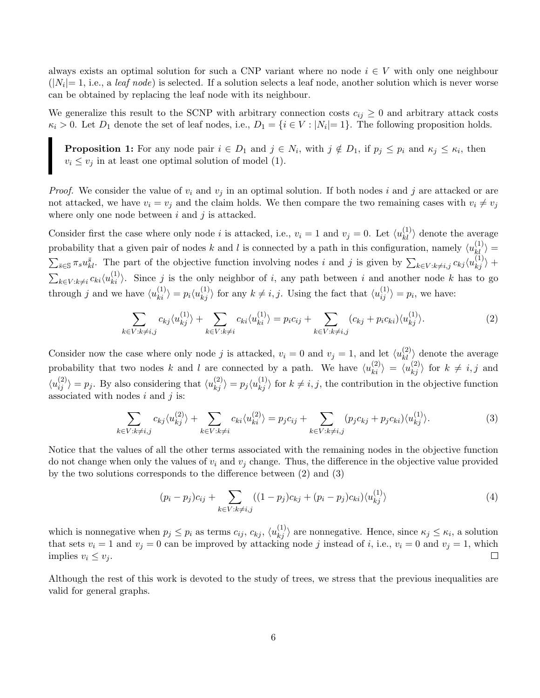always exists an optimal solution for such a CNP variant where no node  $i \in V$  with only one neighbour  $(|N_i|=1, i.e., a \text{ leaf node})$  is selected. If a solution selects a leaf node, another solution which is never worse can be obtained by replacing the leaf node with its neighbour.

We generalize this result to the SCNP with arbitrary connection costs  $c_{ij} \geq 0$  and arbitrary attack costs  $\kappa_i > 0$ . Let  $D_1$  denote the set of leaf nodes, i.e.,  $D_1 = \{i \in V : |N_i| = 1\}$ . The following proposition holds.

**Proposition 1:** For any node pair  $i \in D_1$  and  $j \in N_i$ , with  $j \notin D_1$ , if  $p_j \leq p_i$  and  $\kappa_j \leq \kappa_i$ , then  $v_i \le v_j$  in at least one optimal solution of model (1).

*Proof.* We consider the value of  $v_i$  and  $v_j$  in an optimal solution. If both nodes i and j are attacked or are not attacked, we have  $v_i = v_j$  and the claim holds. We then compare the two remaining cases with  $v_i \neq v_j$ where only one node between  $i$  and  $j$  is attacked.

Consider first the case where only node *i* is attacked, i.e.,  $v_i = 1$  and  $v_j = 0$ . Let  $\langle u_{kl}^{(1)} \rangle$  denote the average probability that a given pair of nodes k and l is connected by a path in this configuration, namely  $\langle u_{kl}^{(1)} \rangle =$  $\sum_{\bar{s}\in\mathbb{S}}\pi_s u_{kl}^{\bar{s}}$ . The part of the objective function involving nodes i and j is given by  $\sum_{k\in V: k\neq i,j}c_{kj}\langle u_{kj}^{(1)}\rangle$  +  $\sum_{k \in V: k \neq i} c_{ki} \langle u_{ki}^{(1)} \rangle$ . Since j is the only neighbor of i, any path between i and another node k has to go through j and we have  $\langle u_{ki}^{(1)} \rangle = p_i \langle u_{kj}^{(1)} \rangle$  for any  $k \neq i, j$ . Using the fact that  $\langle u_{ij}^{(1)} \rangle = p_i$ , we have:

$$
\sum_{k \in V: k \neq i,j} c_{kj} \langle u_{kj}^{(1)} \rangle + \sum_{k \in V: k \neq i} c_{ki} \langle u_{ki}^{(1)} \rangle = p_i c_{ij} + \sum_{k \in V: k \neq i,j} (c_{kj} + p_i c_{ki}) \langle u_{kj}^{(1)} \rangle.
$$
 (2)

Consider now the case where only node j is attacked,  $v_i = 0$  and  $v_j = 1$ , and let  $\langle u_{kl}^{(2)} \rangle$  denote the average probability that two nodes k and l are connected by a path. We have  $\langle u_{ki}^{(2)} \rangle = \langle u_{kj}^{(2)} \rangle$  for  $k \neq i, j$  and  $\langle u_{ij}^{(2)} \rangle = p_j$ . By also considering that  $\langle u_{kj}^{(2)} \rangle = p_j \langle u_{kj}^{(1)} \rangle$  for  $k \neq i, j$ , the contribution in the objective function associated with nodes  $i$  and  $j$  is:

$$
\sum_{k \in V: k \neq i,j} c_{kj} \langle u_{kj}^{(2)} \rangle + \sum_{k \in V: k \neq i} c_{ki} \langle u_{ki}^{(2)} \rangle = p_j c_{ij} + \sum_{k \in V: k \neq i,j} (p_j c_{kj} + p_j c_{ki}) \langle u_{kj}^{(1)} \rangle.
$$
 (3)

Notice that the values of all the other terms associated with the remaining nodes in the objective function do not change when only the values of  $v_i$  and  $v_j$  change. Thus, the difference in the objective value provided by the two solutions corresponds to the difference between (2) and (3)

$$
(p_i - p_j)c_{ij} + \sum_{k \in V: k \neq i,j} ((1 - p_j)c_{kj} + (p_i - p_j)c_{ki})\langle u_{kj}^{(1)} \rangle
$$
\n(4)

which is nonnegative when  $p_j \leq p_i$  as terms  $c_{ij}$ ,  $c_{kj}$ ,  $\langle u_{kj}^{(1)} \rangle$  are nonnegative. Hence, since  $\kappa_j \leq \kappa_i$ , a solution that sets  $v_i = 1$  and  $v_j = 0$  can be improved by attacking node j instead of i, i.e.,  $v_i = 0$  and  $v_j = 1$ , which implies  $v_i \leq v_j$ .  $\Box$ 

Although the rest of this work is devoted to the study of trees, we stress that the previous inequalities are valid for general graphs.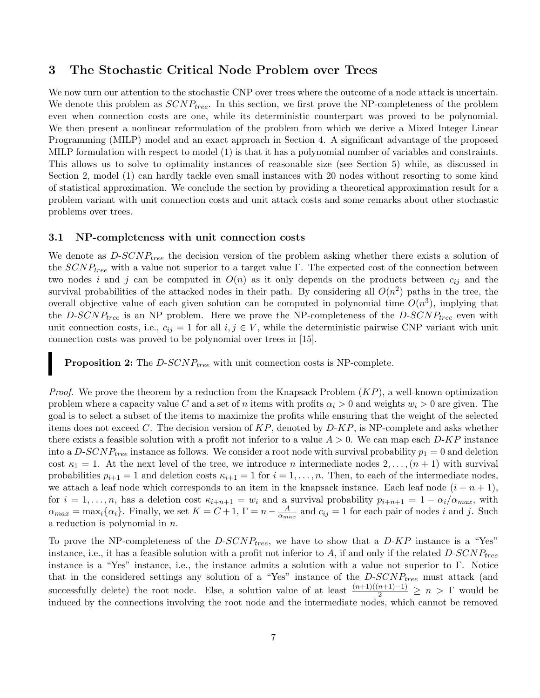## 3 The Stochastic Critical Node Problem over Trees

We now turn our attention to the stochastic CNP over trees where the outcome of a node attack is uncertain. We denote this problem as  $SCNP_{tree}$ . In this section, we first prove the NP-completeness of the problem even when connection costs are one, while its deterministic counterpart was proved to be polynomial. We then present a nonlinear reformulation of the problem from which we derive a Mixed Integer Linear Programming (MILP) model and an exact approach in Section 4. A significant advantage of the proposed MILP formulation with respect to model (1) is that it has a polynomial number of variables and constraints. This allows us to solve to optimality instances of reasonable size (see Section 5) while, as discussed in Section 2, model (1) can hardly tackle even small instances with 20 nodes without resorting to some kind of statistical approximation. We conclude the section by providing a theoretical approximation result for a problem variant with unit connection costs and unit attack costs and some remarks about other stochastic problems over trees.

### 3.1 NP-completeness with unit connection costs

We denote as  $D\text{-}SCNP_{tree}$  the decision version of the problem asking whether there exists a solution of the  $SCNP_{tree}$  with a value not superior to a target value Γ. The expected cost of the connection between two nodes i and j can be computed in  $O(n)$  as it only depends on the products between  $c_{ij}$  and the survival probabilities of the attacked nodes in their path. By considering all  $O(n^2)$  paths in the tree, the overall objective value of each given solution can be computed in polynomial time  $O(n^3)$ , implying that the D-SCNP<sub>tree</sub> is an NP problem. Here we prove the NP-completeness of the  $D$ -SCNP<sub>tree</sub> even with unit connection costs, i.e.,  $c_{ij} = 1$  for all  $i, j \in V$ , while the deterministic pairwise CNP variant with unit connection costs was proved to be polynomial over trees in [15].

**Proposition 2:** The  $D$ -SCNP<sub>tree</sub> with unit connection costs is NP-complete.

*Proof.* We prove the theorem by a reduction from the Knapsack Problem  $(KP)$ , a well-known optimization problem where a capacity value C and a set of n items with profits  $\alpha_i > 0$  and weights  $w_i > 0$  are given. The goal is to select a subset of the items to maximize the profits while ensuring that the weight of the selected items does not exceed C. The decision version of  $KP$ , denoted by  $D$ - $KP$ , is NP-complete and asks whether there exists a feasible solution with a profit not inferior to a value  $A > 0$ . We can map each  $D$ -KP instance into a  $D\text{-}SCNP_{tree}$  instance as follows. We consider a root node with survival probability  $p_1 = 0$  and deletion cost  $\kappa_1 = 1$ . At the next level of the tree, we introduce *n* intermediate nodes  $2, \ldots, (n+1)$  with survival probabilities  $p_{i+1} = 1$  and deletion costs  $\kappa_{i+1} = 1$  for  $i = 1, \ldots, n$ . Then, to each of the intermediate nodes, we attach a leaf node which corresponds to an item in the knapsack instance. Each leaf node  $(i + n + 1)$ , for  $i = 1, \ldots, n$ , has a deletion cost  $\kappa_{i+n+1} = w_i$  and a survival probability  $p_{i+n+1} = 1 - \alpha_i/\alpha_{max}$ , with  $\alpha_{max} = \max_i {\alpha_i}.$  Finally, we set  $K = C + 1, \Gamma = n - \frac{A}{\alpha_{min}}$  $\frac{A}{\alpha_{max}}$  and  $c_{ij} = 1$  for each pair of nodes i and j. Such a reduction is polynomial in  $n$ .

To prove the NP-completeness of the  $D$ - $SCNP_{tree}$ , we have to show that a  $D$ - $KP$  instance is a "Yes" instance, i.e., it has a feasible solution with a profit not inferior to A, if and only if the related  $D\text{-}SCNP_{tree}$ instance is a "Yes" instance, i.e., the instance admits a solution with a value not superior to Γ. Notice that in the considered settings any solution of a "Yes" instance of the  $D-SCNP_{tree}$  must attack (and successfully delete) the root node. Else, a solution value of at least  $\frac{(n+1)((n+1)-1)}{2} \geq n > \Gamma$  would be induced by the connections involving the root node and the intermediate nodes, which cannot be removed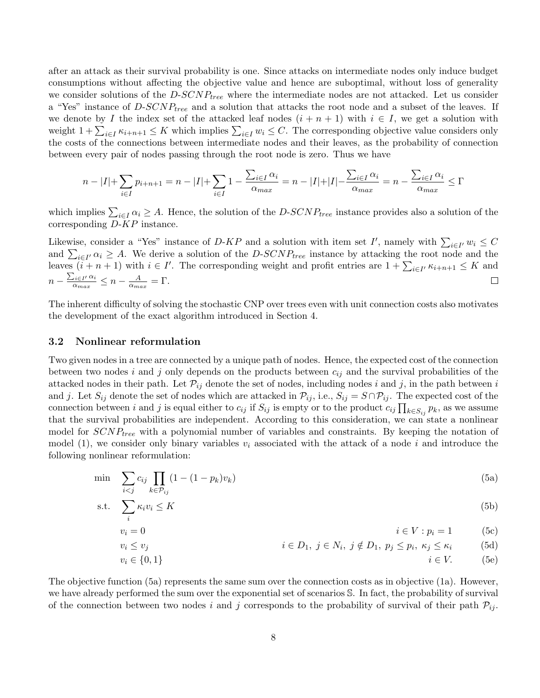after an attack as their survival probability is one. Since attacks on intermediate nodes only induce budget consumptions without affecting the objective value and hence are suboptimal, without loss of generality we consider solutions of the  $D$ - $SCNP_{tree}$  where the intermediate nodes are not attacked. Let us consider a "Yes" instance of  $D\text{-}SCNP_{tree}$  and a solution that attacks the root node and a subset of the leaves. If we denote by I the index set of the attacked leaf nodes  $(i + n + 1)$  with  $i \in I$ , we get a solution with weight  $1 + \sum_{i \in I} \kappa_{i+n+1} \leq K$  which implies  $\sum_{i \in I} w_i \leq C$ . The corresponding objective value considers only the costs of the connections between intermediate nodes and their leaves, as the probability of connection between every pair of nodes passing through the root node is zero. Thus we have

$$
n - |I| + \sum_{i \in I} p_{i+n+1} = n - |I| + \sum_{i \in I} 1 - \frac{\sum_{i \in I} \alpha_i}{\alpha_{max}} = n - |I| + |I| - \frac{\sum_{i \in I} \alpha_i}{\alpha_{max}} = n - \frac{\sum_{i \in I} \alpha_i}{\alpha_{max}} \le \Gamma
$$

which implies  $\sum_{i\in I}\alpha_i \geq A$ . Hence, the solution of the D-SCNP<sub>tree</sub> instance provides also a solution of the corresponding D-KP instance.

Likewise, consider a "Yes" instance of D-KP and a solution with item set I', namely with  $\sum_{i\in I'} w_i \leq C$ and  $\sum_{i\in I'} \alpha_i \geq A$ . We derive a solution of the D-SCNP<sub>tree</sub> instance by attacking the root node and the leaves  $(i+n+1)$  with  $i \in I'$ . The corresponding weight and profit entries are  $1 + \sum_{i \in I'} \kappa_{i+n+1} \leq K$  and  $n - \frac{\sum_{i \in I'} \alpha_i}{\alpha}$  $\frac{a_i \in I' }{\alpha_{max}} \leq n - \frac{A}{\alpha_{max}}$  $\frac{A}{\alpha_{max}} = \Gamma.$  $\Box$ 

The inherent difficulty of solving the stochastic CNP over trees even with unit connection costs also motivates the development of the exact algorithm introduced in Section 4.

### 3.2 Nonlinear reformulation

Two given nodes in a tree are connected by a unique path of nodes. Hence, the expected cost of the connection between two nodes i and j only depends on the products between  $c_{ij}$  and the survival probabilities of the attacked nodes in their path. Let  $\mathcal{P}_{ij}$  denote the set of nodes, including nodes i and j, in the path between i and j. Let  $S_{ij}$  denote the set of nodes which are attacked in  $\mathcal{P}_{ij}$ , i.e.,  $S_{ij} = S \cap \mathcal{P}_{ij}$ . The expected cost of the connection between i and j is equal either to  $c_{ij}$  if  $S_{ij}$  is empty or to the product  $c_{ij} \prod_{k \in S_{ij}} p_k$ , as we assume that the survival probabilities are independent. According to this consideration, we can state a nonlinear model for  $SCNP_{tree}$  with a polynomial number of variables and constraints. By keeping the notation of model (1), we consider only binary variables  $v_i$  associated with the attack of a node i and introduce the following nonlinear reformulation:

$$
\min \sum_{i < j} c_{ij} \prod_{k \in \mathcal{P}_{ij}} (1 - (1 - p_k)v_k) \tag{5a}
$$

$$
\text{s.t.} \quad \sum_{i} \kappa_i v_i \le K \tag{5b}
$$

$$
v_i = 0 \qquad \qquad i \in V : p_i = 1 \qquad (5c)
$$

$$
v_i \le v_j
$$
\n
$$
i \in D_1, j \in N_i, j \notin D_1, p_j \le p_i, \kappa_j \le \kappa_i
$$
\n
$$
v_i \in \{0, 1\}
$$
\n
$$
i \in V.
$$
\n(5d)

The objective function (5a) represents the same sum over the connection costs as in objective (1a). However, we have already performed the sum over the exponential set of scenarios 
$$
S
$$
. In fact, the probability of survival of the connection between two nodes  $i$  and  $j$  corresponds to the probability of survival of their path  $\mathcal{P}_{ij}$ .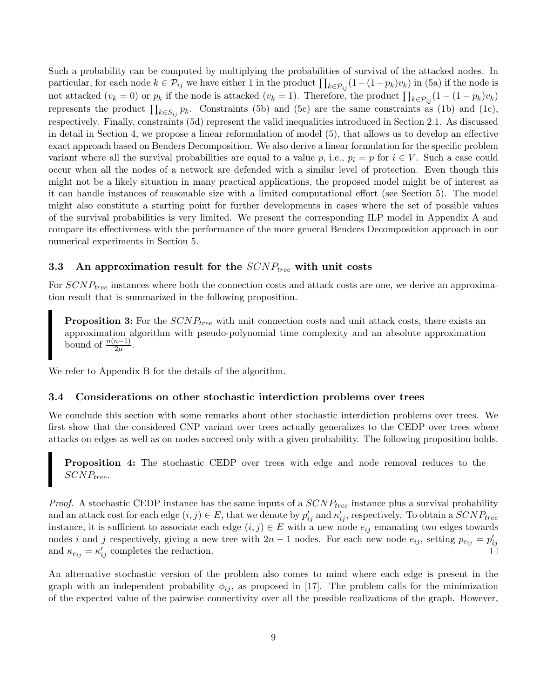Such a probability can be computed by multiplying the probabilities of survival of the attacked nodes. In particular, for each node  $k \in \mathcal{P}_{ij}$  we have either 1 in the product  $\prod_{k \in \mathcal{P}_{ij}}(1-(1-p_k)v_k)$  in (5a) if the node is not attacked  $(v_k = 0)$  or  $p_k$  if the node is attacked  $(v_k = 1)$ . Therefore, the product  $\prod_{k \in \mathcal{P}_{ij}}(1 - (1 - p_k)v_k)$ represents the product  $\prod_{k \in S_{ij}} p_k$ . Constraints (5b) and (5c) are the same constraints as (1b) and (1c), respectively. Finally, constraints (5d) represent the valid inequalities introduced in Section 2.1. As discussed in detail in Section 4, we propose a linear reformulation of model (5), that allows us to develop an effective exact approach based on Benders Decomposition. We also derive a linear formulation for the specific problem variant where all the survival probabilities are equal to a value p, i.e.,  $p_i = p$  for  $i \in V$ . Such a case could occur when all the nodes of a network are defended with a similar level of protection. Even though this might not be a likely situation in many practical applications, the proposed model might be of interest as it can handle instances of reasonable size with a limited computational effort (see Section 5). The model might also constitute a starting point for further developments in cases where the set of possible values of the survival probabilities is very limited. We present the corresponding ILP model in Appendix A and compare its effectiveness with the performance of the more general Benders Decomposition approach in our numerical experiments in Section 5.

### 3.3 An approximation result for the  $SCNP_{tree}$  with unit costs

For  $SCNP_{tree}$  instances where both the connection costs and attack costs are one, we derive an approximation result that is summarized in the following proposition.

**Proposition 3:** For the  $SCNP_{tree}$  with unit connection costs and unit attack costs, there exists an approximation algorithm with pseudo-polynomial time complexity and an absolute approximation bound of  $\frac{n(n-1)}{2\mu}$ .

We refer to Appendix B for the details of the algorithm.

#### 3.4 Considerations on other stochastic interdiction problems over trees

We conclude this section with some remarks about other stochastic interdiction problems over trees. We first show that the considered CNP variant over trees actually generalizes to the CEDP over trees where attacks on edges as well as on nodes succeed only with a given probability. The following proposition holds.

Proposition 4: The stochastic CEDP over trees with edge and node removal reduces to the  $SCNP_{tree}$ .

*Proof.* A stochastic CEDP instance has the same inputs of a  $SCNP_{tree}$  instance plus a survival probability and an attack cost for each edge  $(i, j) \in E$ , that we denote by  $p'_{ij}$  and  $\kappa'_{ij}$ , respectively. To obtain a  $SCNP_{tree}$ instance, it is sufficient to associate each edge  $(i, j) \in E$  with a new node  $e_{ij}$  emanating two edges towards nodes i and j respectively, giving a new tree with  $2n-1$  nodes. For each new node  $e_{ij}$ , setting  $p_{e_{ij}} = p'_{ij}$ and  $\kappa_{e_{ij}} = \kappa'_{ij}$  completes the reduction.

An alternative stochastic version of the problem also comes to mind where each edge is present in the graph with an independent probability  $\phi_{ij}$ , as proposed in [17]. The problem calls for the minimization of the expected value of the pairwise connectivity over all the possible realizations of the graph. However,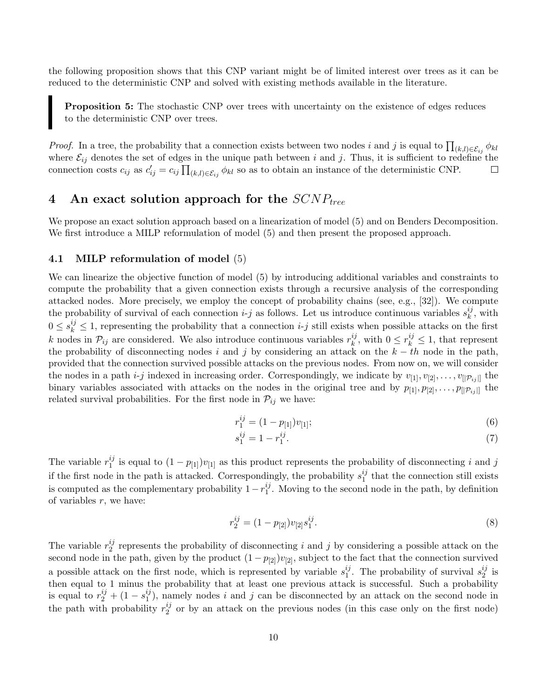the following proposition shows that this CNP variant might be of limited interest over trees as it can be reduced to the deterministic CNP and solved with existing methods available in the literature.

**Proposition 5:** The stochastic CNP over trees with uncertainty on the existence of edges reduces to the deterministic CNP over trees.

*Proof.* In a tree, the probability that a connection exists between two nodes i and j is equal to  $\prod_{(k,l)\in\mathcal{E}_{ij}}\phi_{kl}$ where  $\mathcal{E}_{ij}$  denotes the set of edges in the unique path between i and j. Thus, it is sufficient to redefine the connection costs  $c_{ij}$  as  $c'_{ij} = c_{ij} \prod_{(k,l) \in \mathcal{E}_{ij}} \phi_{kl}$  so as to obtain an instance of the deterministic CNP. □

# 4 An exact solution approach for the  $SCNP_{tree}$

We propose an exact solution approach based on a linearization of model (5) and on Benders Decomposition. We first introduce a MILP reformulation of model  $(5)$  and then present the proposed approach.

### 4.1 MILP reformulation of model (5)

We can linearize the objective function of model (5) by introducing additional variables and constraints to compute the probability that a given connection exists through a recursive analysis of the corresponding attacked nodes. More precisely, we employ the concept of probability chains (see, e.g., [32]). We compute the probability of survival of each connection  $i-j$  as follows. Let us introduce continuous variables  $s_k^{ij}$ .  $\frac{ij}{k}$ , with  $0 \leq s_k^{ij} \leq 1$ , representing the probability that a connection *i-j* still exists when possible attacks on the first k nodes in  $\mathcal{P}_{ij}$  are considered. We also introduce continuous variables  $r_k^{ij}$  $k, \atop k$ , with  $0 \leq r_k^{ij} \leq 1$ , that represent the probability of disconnecting nodes i and j by considering an attack on the  $k - th$  node in the path, provided that the connection survived possible attacks on the previous nodes. From now on, we will consider the nodes in a path *i-j* indexed in increasing order. Correspondingly, we indicate by  $v_{[1]}, v_{[2]}, \ldots, v_{[|\mathcal{P}_{ij}|]}$  the binary variables associated with attacks on the nodes in the original tree and by  $p_{[1]}, p_{[2]}, \ldots, p_{[|\mathcal{P}_{ij}|]}$  the related survival probabilities. For the first node in  $\mathcal{P}_{ij}$  we have:

$$
r_1^{ij} = (1 - p_{[1]})v_{[1]};\tag{6}
$$

$$
s_1^{ij} = 1 - r_1^{ij}.\tag{7}
$$

The variable  $r_1^{ij}$  $i_j$  is equal to  $(1-p_{[1]})v_{[1]}$  as this product represents the probability of disconnecting i and j if the first node in the path is attacked. Correspondingly, the probability  $s_1^{ij}$  $_1^{ij}$  that the connection still exists is computed as the complementary probability  $1 - r_1^{ij}$  $_1^{\prime\prime}$ . Moving to the second node in the path, by definition of variables  $r$ , we have:

$$
r_2^{ij} = (1 - p_{[2]})v_{[2]}s_1^{ij}.
$$
\n(8)

The variable  $r_2^{ij}$  $i<sub>2</sub><sup>i<sub>2</sub></sup>$  represents the probability of disconnecting i and j by considering a possible attack on the second node in the path, given by the product  $(1 - p_{[2]})v_{[2]}$ , subject to the fact that the connection survived a possible attack on the first node, which is represented by variable  $s_1^{ij}$  $i_j^{ij}$ . The probability of survival  $s_2^{ij}$  $\frac{ij}{2}$  is then equal to 1 minus the probability that at least one previous attack is successful. Such a probability is equal to  $r_2^{ij} + (1 - s_1^{ij})$  $\binom{ij}{1}$ , namely nodes i and j can be disconnected by an attack on the second node in the path with probability  $r_2^{ij}$  $\frac{y}{2}$  or by an attack on the previous nodes (in this case only on the first node)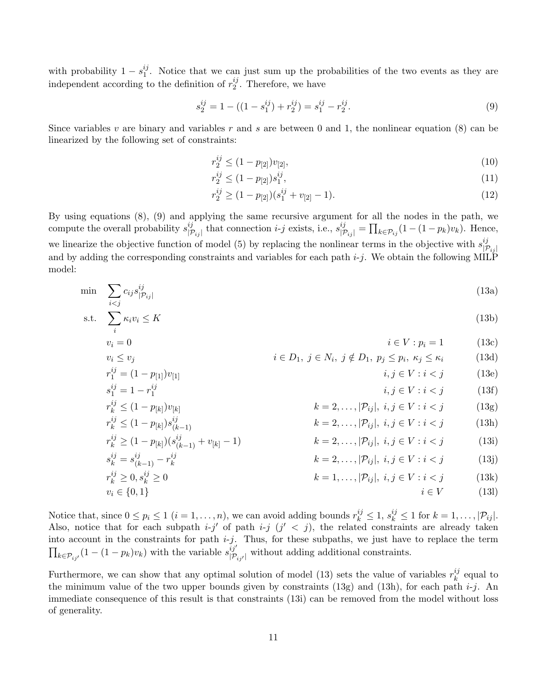with probability  $1 - s_1^{ij}$  $\frac{y}{1}$ . Notice that we can just sum up the probabilities of the two events as they are independent according to the definition of  $r_2^{ij}$  $_2^{ij}$ . Therefore, we have

$$
s_2^{ij} = 1 - ((1 - s_1^{ij}) + r_2^{ij}) = s_1^{ij} - r_2^{ij}.
$$
\n(9)

Since variables  $v$  are binary and variables  $r$  and  $s$  are between 0 and 1, the nonlinear equation (8) can be linearized by the following set of constraints:

$$
r_2^{ij} \le (1 - p_{[2]})v_{[2]},\tag{10}
$$

$$
r_2^{ij} \le (1 - p_{[2]})s_1^{ij},\tag{11}
$$

$$
r_2^{ij} \ge (1 - p_{[2]}) (s_1^{ij} + v_{[2]} - 1). \tag{12}
$$

By using equations (8), (9) and applying the same recursive argument for all the nodes in the path, we compute the overall probability  $s_{17}^{ij}$  $\prod_{|\mathcal{P}_{ij}|}$  that connection *i-j* exists, i.e.,  $s_{|\mathcal{P}_{ij}|}^{ij} = \prod_{k \in \mathcal{P}_{ij}} (1 - (1 - p_k)v_k)$ . Hence, we linearize the objective function of model (5) by replacing the nonlinear terms in the objective with  $s_{1\tau}^{ij}$  $|\mathcal{P}_{ij}|$ and by adding the corresponding constraints and variables for each path  $i-j$ . We obtain the following MILP model:

$$
\min \sum_{i < j} c_{ij} s_{|\mathcal{P}_{ij}|}^{ij} \tag{13a}
$$

$$
\text{s.t.} \quad \sum_{i} \kappa_i v_i \le K \tag{13b}
$$

$$
v_i = 0 \qquad \qquad i \in V : p_i = 1 \qquad (13c)
$$

$$
v_i \le v_j \qquad i \in D_1, \ j \in N_i, \ j \notin D_1, \ p_j \le p_i, \ \kappa_j \le \kappa_i \qquad (13d)
$$

$$
r_1^{ij} = (1 - p_{[1]})v_{[1]}
$$
  
\n
$$
s_1^{ij} = 1 - r_1^{ij}
$$
  
\n
$$
i, j \in V : i < j
$$
  
\n
$$
i, j \in V : i < j
$$
  
\n(13e)  
\n
$$
i, j \in V : i < j
$$
  
\n(13f)

$$
s_{1} = 1 - r_{1}
$$
  
\n
$$
r_{k}^{ij} \leq (1 - p_{[k]})v_{[k]}
$$
  
\n
$$
r_{k}^{ij} \leq (1 - p_{[k]})s_{(k-1)}^{ij}
$$
  
\n
$$
r_{k}^{ij} \geq (1 - p_{[k]}) (s_{(k-1)}^{ij} + v_{[k] - 1})
$$
  
\n
$$
s_{k}^{ij} = s_{(k-1)}^{ij} - r_{k}^{ij}
$$
  
\n
$$
r_{k}^{ij} \geq 0, s_{k}^{ij} \geq 0
$$
  
\n
$$
s_{k}^{ij} = 0, s_{k}^{ij} \geq 0
$$
  
\n
$$
k = 2, ..., |\mathcal{P}_{ij}|, i, j \in V : i < j
$$
  
\n
$$
k = 2, ..., |\mathcal{P}_{ij}|, i, j \in V : i < j
$$
  
\n
$$
k = 2, ..., |\mathcal{P}_{ij}|, i, j \in V : i < j
$$
  
\n
$$
k = 1, ..., |\mathcal{P}_{ij}|, i, j \in V : i < j
$$
  
\n(13i)  
\n
$$
r_{k}^{ij} \geq 0, s_{k}^{ij} \geq 0
$$
  
\n
$$
k = 1, ..., |\mathcal{P}_{ij}|, i, j \in V : i < j
$$
  
\n(13k)

$$
v_i \in \{0, 1\} \qquad i \in V \tag{13l}
$$

Notice that, since  $0 \le p_i \le 1$   $(i = 1, ..., n)$ , we can avoid adding bounds  $r_k^{ij} \le 1$ ,  $s_k^{ij} \le 1$  for  $k = 1, ..., |\mathcal{P}_{ij}|$ . Also, notice that for each subpath  $i-j'$  of path  $i-j$   $(j' < j)$ , the related constraints are already taken into account in the constraints for path  $i-j$ . Thus, for these subpaths, we just have to replace the term  $\prod_{k \in \mathcal{P}_{ij}} (1 - (1 - p_k)v_k)$  with the variable  $s_{|\mathcal{P}_i}^{ij'}$  $|p_{ij'}|\$  without adding additional constraints.

Furthermore, we can show that any optimal solution of model (13) sets the value of variables  $r_k^{ij}$  $\frac{y}{k}$  equal to the minimum value of the two upper bounds given by constraints (13g) and (13h), for each path  $i-j$ . An immediate consequence of this result is that constraints (13i) can be removed from the model without loss of generality.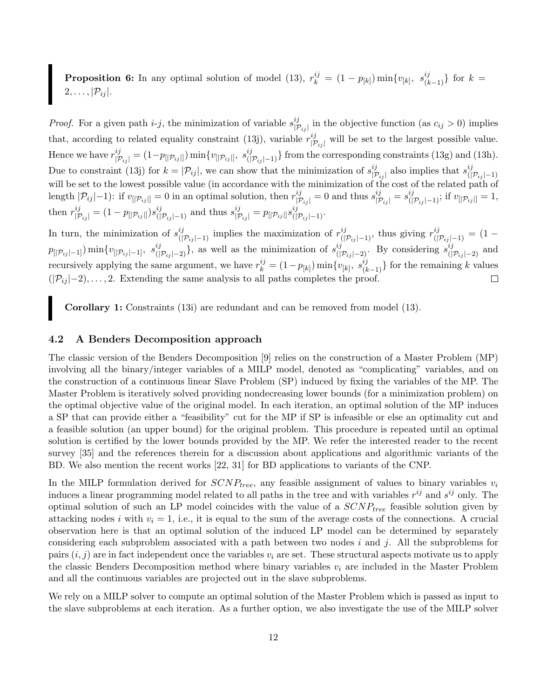**Proposition 6:** In any optimal solution of model (13),  $r_k^{ij} = (1 - p_{[k]}) \min\{v_{[k]}, s_{(k-1)}^{ij}\}\)$  for  $k =$  $2, \ldots, |\mathcal{P}_{ij}|.$ 

*Proof.* For a given path  $i-j$ , the minimization of variable  $s_{17}^{ij}$  $|p_{ij}|$  in the objective function (as  $c_{ij} > 0$ ) implies that, according to related equality constraint (13j), variable  $r_{\text{tr}}^{ij}$  $||p_{ij}||$  will be set to the largest possible value. Hence we have  $r^{ij}_{|\mathcal{P}_{ij}|} = (1-p_{[|\mathcal{P}_{ij}|]}) \min\{v_{[|\mathcal{P}_{ij}|]}, s^{ij}_{(|\mathcal{P}_{ij}|-1)}\}$  from the corresponding constraints (13g) and (13h). Due to constraint (13j) for  $k = |\mathcal{P}_{ij}|$ , we can show that the minimization of  $s_{|\mathcal{I}|}^{ij}$  $\frac{i}{|\mathcal{P}_{ij}|}$  also implies that  $s_{\left(\right)}^{ij}$  $(|\mathcal{P}_{ij}|-1)$ will be set to the lowest possible value (in accordance with the minimization of the cost of the related path of length  $|\mathcal{P}_{ij}|-1$ ): if  $v_{[|\mathcal{P}_{ij}|]}=0$  in an optimal solution, then  $r^{ij}_{|\mathcal{P}_{ij}|}=0$  and thus  $s^{ij}_{|\mathcal{P}_{ij}|}=s^{ij}_{(|\mathcal{P}_{ij}|-1)}$ ; if  $v_{[|\mathcal{P}_{ij}|]}=1$ ,  $\text{then } r^{ij}_{|\mathcal{P}_{ij}|} = (1 - p_{[|\mathcal{P}_{ij}|]}) s^{ij}_{(|\mathcal{P}_{ij}|-1)} \text{ and thus } s^{ij}_{|\mathcal{P}_{ij}|} = p_{[|\mathcal{P}_{ij}|]} s^{ij}_{(|\mathcal{P}_{ij}|-1)}.$ 

In turn, the minimization of  $s^{ij}_{(|p_{ij}|-1)}$  implies the maximization of  $r^{ij}_{(|p_{ij}|-1)}$ , thus giving  $r^{ij}_{(|p_{ij}|-1)} = (1$  $p_{\left[\mathcal{P}_{ij}\right]-1]}$ )  $\min\{v_{\left[\mathcal{P}_{ij}\right]-1]}, s^{ij}_{\left(\left[\mathcal{P}_{ij}\right]-2\right)}\}$ , as well as the minimization of  $s^{ij}_{\left(\left[\mathcal{P}_{ij}\right]-2\right)}$ . By considering  $s^{ij}_{\left(\left[\mathcal{P}_{ij}\right]-2\right)}$  and recursively applying the same argument, we have  $r_k^{ij} = (1-p_{[k]}) \min\{v_{[k]}, s_{(k-1)}^{ij}\}$  for the remaining k values  $(|\mathcal{P}_{ij}|-2), \ldots, 2$ . Extending the same analysis to all paths completes the proof.  $\Box$ 

Corollary 1: Constraints (13i) are redundant and can be removed from model (13).

### 4.2 A Benders Decomposition approach

The classic version of the Benders Decomposition [9] relies on the construction of a Master Problem (MP) involving all the binary/integer variables of a MILP model, denoted as "complicating" variables, and on the construction of a continuous linear Slave Problem (SP) induced by fixing the variables of the MP. The Master Problem is iteratively solved providing nondecreasing lower bounds (for a minimization problem) on the optimal objective value of the original model. In each iteration, an optimal solution of the MP induces a SP that can provide either a "feasibility" cut for the MP if SP is infeasible or else an optimality cut and a feasible solution (an upper bound) for the original problem. This procedure is repeated until an optimal solution is certified by the lower bounds provided by the MP. We refer the interested reader to the recent survey [35] and the references therein for a discussion about applications and algorithmic variants of the BD. We also mention the recent works [22, 31] for BD applications to variants of the CNP.

In the MILP formulation derived for  $SCNP_{tree}$ , any feasible assignment of values to binary variables  $v_i$ induces a linear programming model related to all paths in the tree and with variables  $r^{ij}$  and  $s^{ij}$  only. The optimal solution of such an LP model coincides with the value of a  $SCNP_{tree}$  feasible solution given by attacking nodes i with  $v_i = 1$ , i.e., it is equal to the sum of the average costs of the connections. A crucial observation here is that an optimal solution of the induced LP model can be determined by separately considering each subproblem associated with a path between two nodes i and j. All the subproblems for pairs  $(i, j)$  are in fact independent once the variables  $v_i$  are set. These structural aspects motivate us to apply the classic Benders Decomposition method where binary variables  $v_i$  are included in the Master Problem and all the continuous variables are projected out in the slave subproblems.

We rely on a MILP solver to compute an optimal solution of the Master Problem which is passed as input to the slave subproblems at each iteration. As a further option, we also investigate the use of the MILP solver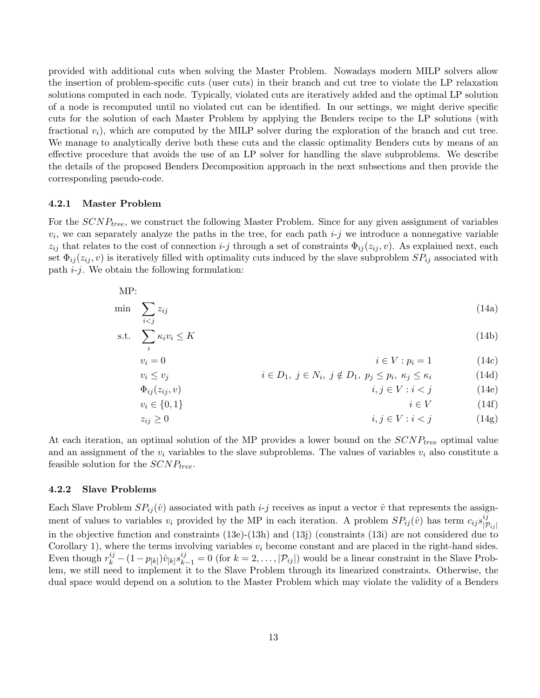provided with additional cuts when solving the Master Problem. Nowadays modern MILP solvers allow the insertion of problem-specific cuts (user cuts) in their branch and cut tree to violate the LP relaxation solutions computed in each node. Typically, violated cuts are iteratively added and the optimal LP solution of a node is recomputed until no violated cut can be identified. In our settings, we might derive specific cuts for the solution of each Master Problem by applying the Benders recipe to the LP solutions (with fractional  $v_i$ ), which are computed by the MILP solver during the exploration of the branch and cut tree. We manage to analytically derive both these cuts and the classic optimality Benders cuts by means of an effective procedure that avoids the use of an LP solver for handling the slave subproblems. We describe the details of the proposed Benders Decomposition approach in the next subsections and then provide the corresponding pseudo-code.

#### 4.2.1 Master Problem

For the  $SCNP_{tree}$ , we construct the following Master Problem. Since for any given assignment of variables  $v_i$ , we can separately analyze the paths in the tree, for each path  $i-j$  we introduce a nonnegative variable  $z_{ij}$  that relates to the cost of connection *i-j* through a set of constraints  $\Phi_{ij}(z_{ij}, v)$ . As explained next, each set  $\Phi_{ij}(z_{ij}, v)$  is iteratively filled with optimality cuts induced by the slave subproblem  $SP_{ij}$  associated with path  $i-j$ . We obtain the following formulation:

$$
\mathrm{MP:}\qquad
$$

$$
\min \sum_{i < j} z_{ij} \tag{14a}
$$

$$
\text{s.t.} \quad \sum_{i} \kappa_i v_i \le K \tag{14b}
$$

$$
v_i = 0
$$
\n
$$
i \in V : p_i = 1
$$
\n
$$
(14c)
$$
\n
$$
(14c)
$$

$$
v_i \le v_j \qquad i \in D_1, \ j \in N_i, \ j \notin D_1, \ p_j \le p_i, \ \kappa_j \le \kappa_i \qquad (14d)
$$

$$
\Phi_{ij}(z_{ij}, v) \qquad \qquad i, j \in V : i < j \tag{14e}
$$

$$
v_i \in \{0, 1\} \qquad i \in V \qquad (14f)
$$
\n
$$
z \ge 0 \qquad (14x)
$$

$$
z_{ij} \ge 0 \qquad \qquad i, j \in V : i < j \tag{14g}
$$

At each iteration, an optimal solution of the MP provides a lower bound on the  $SCNP_{tree}$  optimal value and an assignment of the  $v_i$  variables to the slave subproblems. The values of variables  $v_i$  also constitute a feasible solution for the  $SCNP_{tree}$ .

### 4.2.2 Slave Problems

Each Slave Problem  $SP_{ij}(\hat{v})$  associated with path  $i-j$  receives as input a vector  $\hat{v}$  that represents the assignment of values to variables  $v_i$  provided by the MP in each iteration. A problem  $SP_{ij}(\hat{v})$  has term  $c_{ij}s_{|\mathcal{I}}^{ij}$  $|\mathcal{P}_{ij}|$ in the objective function and constraints (13e)-(13h) and (13j) (constraints (13i) are not considered due to Corollary 1), where the terms involving variables  $v_i$  become constant and are placed in the right-hand sides. Even though  $r_k^{ij} - (1 - p_{[k]}) \hat{v}_{[k]} s_{k-1}^{ij} = 0$  (for  $k = 2, \ldots, |\mathcal{P}_{ij}|$ ) would be a linear constraint in the Slave Problem, we still need to implement it to the Slave Problem through its linearized constraints. Otherwise, the dual space would depend on a solution to the Master Problem which may violate the validity of a Benders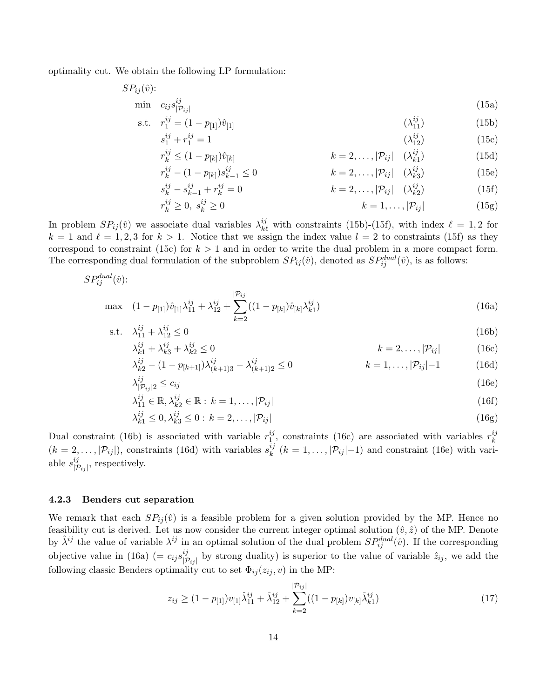optimality cut. We obtain the following LP formulation:

$$
SP_{ij}(\hat{v})
$$
:  
min  $c_{ij} s_{|\mathcal{P}_{ij}|}^{ij}$  (15a)

s.t. 
$$
r_1^{ij} = (1 - p_{[1]})\hat{v}_{[1]}
$$
  $(\lambda_{11}^{ij})$  (15b)

$$
s_1^{ij} + r_1^{ij} = 1 \tag{15c}
$$

$$
r_k^{ij} \le (1 - p_{[k]}) \hat{v}_{[k]}
$$
  $k = 2, ..., |\mathcal{P}_{ij}| \quad (\lambda_{k1}^{ij})$  (15d)

$$
r_k^{ij} - (1 - p_{[k]})s_{k-1}^{ij} \le 0 \qquad k = 2, ..., |\mathcal{P}_{ij}| \quad (\lambda_{k3}^{ij})
$$
(15e)

$$
s_k^{ij} - s_{k-1}^{ij} + r_k^{ij} = 0
$$
 (15f)

$$
r_k^{ij} \ge 0, \ s_k^{ij} \ge 0 \qquad k = 1, \dots, |\mathcal{P}_{ij}| \tag{15g}
$$

In problem  $SP_{ij}(\hat{v})$  we associate dual variables  $\lambda_{k\ell}^{ij}$  with constraints (15b)-(15f), with index  $\ell = 1, 2$  for  $k = 1$  and  $\ell = 1, 2, 3$  for  $k > 1$ . Notice that we assign the index value  $l = 2$  to constraints (15f) as they correspond to constraint (15c) for  $k > 1$  and in order to write the dual problem in a more compact form. The corresponding dual formulation of the subproblem  $SP_{ij}(\hat{v})$ , denoted as  $SP_{ij}^{dual}(\hat{v})$ , is as follows:

$$
SP_{ij}^{dual}(\hat{v})
$$
:

$$
\max \quad (1 - p_{[1]}) \hat{v}_{[1]} \lambda_{11}^{ij} + \lambda_{12}^{ij} + \sum_{k=2}^{|\mathcal{P}_{ij}|} ((1 - p_{[k]}) \hat{v}_{[k]} \lambda_{k1}^{ij})
$$
\n(16a)

s.t. 
$$
\lambda_{11}^{ij} + \lambda_{12}^{ij} \le 0
$$
 (16b)

$$
\lambda_{k1}^{ij} + \lambda_{k3}^{ij} + \lambda_{k2}^{ij} \le 0
$$
\n
$$
k = 2, \dots, |\mathcal{P}_{ij}|
$$
\n(16c)

$$
\lambda_{k2}^{ij} - (1 - p_{[k+1]})\lambda_{(k+1)3}^{ij} - \lambda_{(k+1)2}^{ij} \le 0
$$
\n
$$
k = 1, \dots, |\mathcal{P}_{ij}| - 1
$$
\n(16d)

$$
\lambda_{|\mathcal{P}_{ij}|2}^{ij} \le c_{ij} \tag{16e}
$$

$$
\lambda_{11}^{ij} \in \mathbb{R}, \lambda_{k2}^{ij} \in \mathbb{R} : k = 1, \dots, |\mathcal{P}_{ij}|
$$
\n
$$
(16f)
$$

$$
\lambda_{k1}^{ij} \le 0, \lambda_{k3}^{ij} \le 0: k = 2, ..., |\mathcal{P}_{ij}|
$$
\n(16g)

Dual constraint (16b) is associated with variable  $r_1^{ij}$  $i_j$ , constraints (16c) are associated with variables  $r_k^{ij}$ k  $(k = 2, \ldots, |\mathcal{P}_{ij}|)$ , constraints (16d) with variables  $s_k^{ij}$  $\mathcal{L}_{k}^{ij}$   $(k = 1, \ldots, |\mathcal{P}_{ij}|-1)$  and constraint (16e) with variable  $s_{\lvert \tau}^{ij}$  $|p_{ij}|$ , respectively.

#### 4.2.3 Benders cut separation

We remark that each  $SP_{ij}(\hat{v})$  is a feasible problem for a given solution provided by the MP. Hence no feasibility cut is derived. Let us now consider the current integer optimal solution  $(\hat{v}, \hat{z})$  of the MP. Denote by  $\hat{\lambda}^{ij}$  the value of variable  $\lambda^{ij}$  in an optimal solution of the dual problem  $SP_{ij}^{dual}(\hat{v})$ . If the corresponding objective value in (16a) (=  $c_{ij} s_{\vert \mathcal{I}}^{ij}$  $|p_{ij}^{ij}|$  by strong duality) is superior to the value of variable  $\hat{z}_{ij}$ , we add the following classic Benders optimality cut to set  $\Phi_{ij}(z_{ij}, v)$  in the MP:

$$
z_{ij} \ge (1 - p_{[1]})v_{[1]}\hat{\lambda}_{11}^{ij} + \hat{\lambda}_{12}^{ij} + \sum_{k=2}^{|\mathcal{P}_{ij}|}((1 - p_{[k]})v_{[k]}\hat{\lambda}_{k1}^{ij})
$$
\n(17)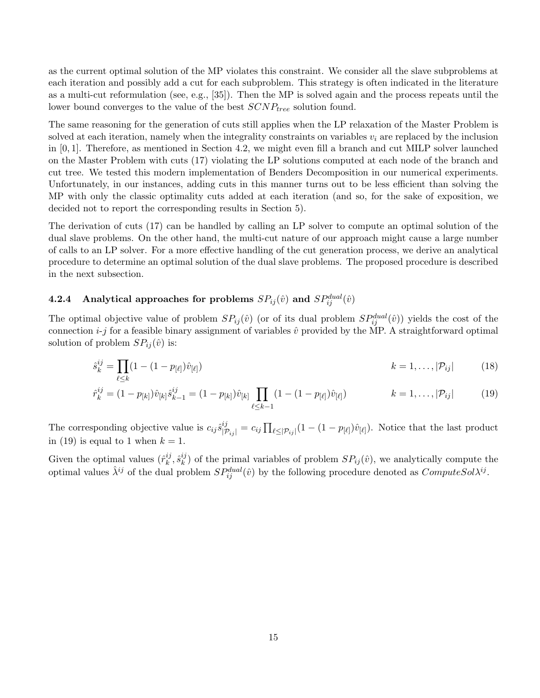as the current optimal solution of the MP violates this constraint. We consider all the slave subproblems at each iteration and possibly add a cut for each subproblem. This strategy is often indicated in the literature as a multi-cut reformulation (see, e.g., [35]). Then the MP is solved again and the process repeats until the lower bound converges to the value of the best  $SCNP_{tree}$  solution found.

The same reasoning for the generation of cuts still applies when the LP relaxation of the Master Problem is solved at each iteration, namely when the integrality constraints on variables  $v_i$  are replaced by the inclusion in [0, 1]. Therefore, as mentioned in Section 4.2, we might even fill a branch and cut MILP solver launched on the Master Problem with cuts (17) violating the LP solutions computed at each node of the branch and cut tree. We tested this modern implementation of Benders Decomposition in our numerical experiments. Unfortunately, in our instances, adding cuts in this manner turns out to be less efficient than solving the MP with only the classic optimality cuts added at each iteration (and so, for the sake of exposition, we decided not to report the corresponding results in Section 5).

The derivation of cuts (17) can be handled by calling an LP solver to compute an optimal solution of the dual slave problems. On the other hand, the multi-cut nature of our approach might cause a large number of calls to an LP solver. For a more effective handling of the cut generation process, we derive an analytical procedure to determine an optimal solution of the dual slave problems. The proposed procedure is described in the next subsection.

# **4.2.4** Analytical approaches for problems  $SP_{ij}(\hat{v})$  and  $SP_{ij}^{dual}(\hat{v})$

The optimal objective value of problem  $SP_{ij}(\hat{v})$  (or of its dual problem  $SP_{ij}^{dual}(\hat{v})$ ) yields the cost of the connection  $i-j$  for a feasible binary assignment of variables  $\hat{v}$  provided by the MP. A straightforward optimal solution of problem  $SP_{ij}(\hat{v})$  is:

$$
\hat{s}_{k}^{ij} = \prod_{\ell \le k} (1 - (1 - p_{[\ell]}) \hat{v}_{[\ell]}) \qquad k = 1, \dots, |\mathcal{P}_{ij}| \qquad (18)
$$

$$
\hat{r}_{k}^{ij} = (1 - p_{[k]})\hat{v}_{[k]}\hat{s}_{k-1}^{ij} = (1 - p_{[k]})\hat{v}_{[k]}\prod_{\ell \le k-1} (1 - (1 - p_{[\ell]})\hat{v}_{[\ell]}) \qquad k = 1, \dots, |\mathcal{P}_{ij}| \qquad (19)
$$

The corresponding objective value is  $c_{ij}\hat{s}_{|\mathcal{P}_{ij}|}^{ij} = c_{ij} \prod_{\ell \leq |\mathcal{P}_{ij}|} (1 - (1 - p_{[\ell]})\hat{v}_{[\ell]}).$  Notice that the last product in (19) is equal to 1 when  $k = 1$ .

Given the optimal values  $(\hat{r}_k^{ij})$  $_k^{ij}, \hat{s}_k^{ij}$  $\binom{y}{k}$  of the primal variables of problem  $SP_{ij}(\hat{v})$ , we analytically compute the optimal values  $\hat{\lambda}^{ij}$  of the dual problem  $SP_{ij}^{dual}(\hat{v})$  by the following procedure denoted as  $ComputeSol\lambda^{ij}$ .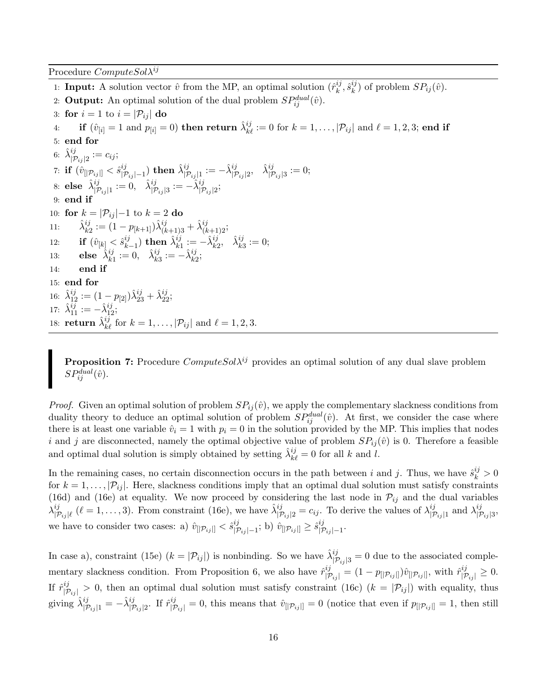Procedure  $ComputeSol\lambda^{ij}$ 

1: **Input:** A solution vector  $\hat{v}$  from the MP, an optimal solution  $(\hat{r}_{k}^{ij})$  $_k^{ij}, \hat{s}_k^{ij}$  $k^{ij}$  of problem  $SP_{ij}(\hat{v})$ . 2: **Output:** An optimal solution of the dual problem  $SP_{ij}^{dual}(\hat{v})$ . 3: for  $i = 1$  to  $i = |\mathcal{P}_{ij}|$  do  $\textbf{4}: \qquad \textbf{if} \,\, (\hat{v}_{[i]} = 1 \,\, \text{and} \,\, p_{[i]} = 0) \,\, \textbf{then} \,\, \textbf{return} \,\, \hat{\lambda}^{ij}_{k \ell} := 0 \,\, \text{for} \,\, k = 1, \ldots, |\mathcal{P}_{ij}| \,\, \text{and} \,\, \ell = 1, 2, 3; \,\textbf{end if}$ 5: end for 6:  $\hat{\lambda}^{ij}_{|{\mathcal{P}}_{ij}|2} := c_{ij};$ 7:  ${\bf if}\,\, (\hat v_{[|\mathcal{P}_{ij}|]} < \hat s_{|\mathcal{I}}^{ij}$  $\hat{\lambda}^{ij}_{|\mathcal{P}_{ij}|-1}) \,\, \text{then} \,\, \hat{\lambda}^{ij}_{|\mathcal{P}_{ij}|1} := - \hat{\lambda}^{ij}_{|\mathcal{P}_{ij}|2}, \,\,\,\, \hat{\lambda}^{ij}_{|\mathcal{P}_{ij}|3} := 0;$  $\text{8: else }\ \hat{\lambda}^{ij}_{|\mathcal{P}_{ij}|1} := 0, \ \ \ \hat{\lambda}^{ij}_{|\mathcal{P}_{ij}|3} := -\hat{\lambda}^{ij}_{|\mathcal{P}_{ij}|2};$ 9: end if 10: for  $k = |\mathcal{P}_{ij}| - 1$  to  $k = 2$  do 11:  $\hat{\lambda}_{k2}^{ij} := (1 - p_{[k+1]}) \hat{\lambda}_{(k+1)3}^{ij} + \hat{\lambda}_{(k+1)2}^{ij};$ 12: **if**  $(\hat{v}_{[k]} < \hat{s}_{k}^{ij})$  $\hat{\lambda}^{ij}_{k-1}) \; {\rm then} \; \hat{\lambda}^{ij}_{k1} := - \hat{\lambda}^{ij}_{k2}, \; \; \hat{\lambda}^{ij}_{k3} := 0;$ 13: **else**  $\hat{\lambda}_{k1}^{ij} := 0$ ,  $\hat{\lambda}_{k3}^{ij} := -\hat{\lambda}_{k2}^{ij}$ ; 14: end if 15: end for 16:  $\hat{\lambda}_{12}^{ij} := (1 - p_{[2]}) \hat{\lambda}_{23}^{ij} + \hat{\lambda}_{22}^{ij};$ 17:  $\hat{\lambda}_{11}^{ij} := -\hat{\lambda}_{12}^{ij};$ 18: **return**  $\hat{\lambda}_{k\ell}^{ij}$  for  $k = 1, \ldots, |\mathcal{P}_{ij}|$  and  $\ell = 1, 2, 3$ .

**Proposition 7:** Procedure  $ComputeSol\lambda^{ij}$  provides an optimal solution of any dual slave problem  $SP_{ij}^{dual}(\hat{v})$ .

*Proof.* Given an optimal solution of problem  $SP_{ij}(\hat{v})$ , we apply the complementary slackness conditions from duality theory to deduce an optimal solution of problem  $SP_{ij}^{dual}(\hat{v})$ . At first, we consider the case where there is at least one variable  $\hat{v}_i = 1$  with  $p_i = 0$  in the solution provided by the MP. This implies that nodes i and j are disconnected, namely the optimal objective value of problem  $SP_{ij}(\hat{v})$  is 0. Therefore a feasible and optimal dual solution is simply obtained by setting  $\hat{\lambda}_{k\ell}^{ij} = 0$  for all k and l.

In the remaining cases, no certain disconnection occurs in the path between i and j. Thus, we have  $\hat{s}_k^{ij} > 0$ for  $k = 1, \ldots, |\mathcal{P}_{ij}|$ . Here, slackness conditions imply that an optimal dual solution must satisfy constraints (16d) and (16e) at equality. We now proceed by considering the last node in  $\mathcal{P}_{ij}$  and the dual variables  $\lambda^{ij}_{\tau}$  $\hat{P}_{|\mathcal{P}_{ij}|l}^{ij}$  ( $l = 1, \ldots, 3$ ). From constraint (16e), we have  $\hat{\lambda}^{ij}_{|\mathcal{P}_{ij}|2} = c_{ij}$ . To derive the values of  $\lambda^{ij}_{|\mathcal{P}_{ij}|2}$  $\frac{i j}{|P_{ij}|1}$  and  $\lambda^{ij}_{|\mathcal{F}}$  $\begin{array}{l} vj \ |\mathcal{P}_{ij}|3 \end{array},$ we have to consider two cases: a)  $\hat{v}_{[|\mathcal{P}_{ij}|]} < \hat{s}_{|\mathcal{P}_{ij}|}^{ij}$  $\overset{ij}{\text{ }|\mathcal{P}_{ij}|-1}$ ; b)  $\hat{v}_{[|\mathcal{P}_{ij}|]} \geq \hat{s}^{ij}_{|\mathcal{P}_{ij}|}$  $\begin{array}{l} vj \ |\mathcal{P}_{ij} | -1 \end{array}.$ 

In case a), constraint (15e)  $(k = |\mathcal{P}_{ij}|)$  is nonbinding. So we have  $\hat{\lambda}^{ij}_{|\mathcal{P}_{ij}|3} = 0$  due to the associated complementary slackness condition. From Proposition 6, we also have  $\hat{r}^{ij}_{|\mathcal{P}_{ij}|} = (1 - p_{[|\mathcal{P}_{ij}|]})\hat{v}_{[|\mathcal{P}_{ij}|]},$  with  $\hat{r}^{ij}_{|\mathcal{P}_{ij}|} \geq 0$ . If  $\hat{r}^{ij}_{|\mathcal{P}_{ij}|} > 0$ , then an optimal dual solution must satisfy constraint (16c)  $(k = |\mathcal{P}_{ij}|)$  with equality, thus giving  $\hat{\lambda}^{ij}_{|\mathcal{P}_{ij}|1} = -\hat{\lambda}^{ij}_{|\mathcal{P}_{ij}|2}$ . If  $\hat{r}^{ij}_{|\mathcal{P}_{ij}|} = 0$ , this means that  $\hat{v}_{[|\mathcal{P}_{ij}|]} = 0$  (notice that even if  $p_{[|\mathcal{P}_{ij}|]} = 1$ , then still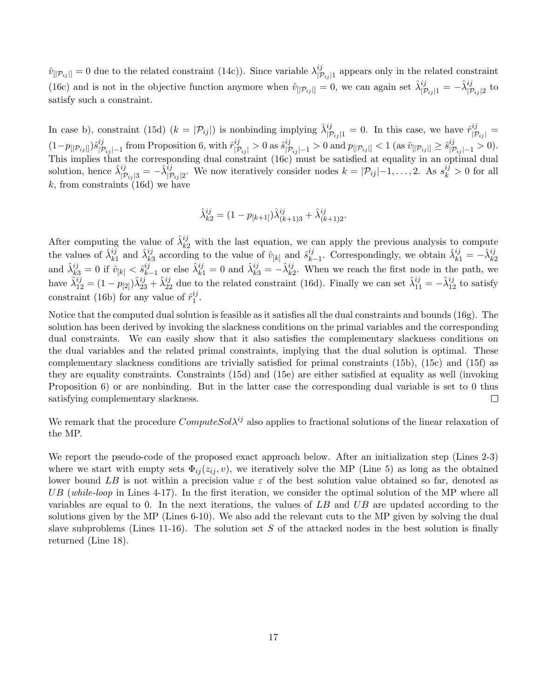$\hat{v}_{[|\mathcal{P}_{ij}|]} = 0$  due to the related constraint (14c)). Since variable  $\lambda_{|\mathcal{P}_{ij}|}^{ij}$  $|p_{ij}|$  appears only in the related constraint (16c) and is not in the objective function anymore when  $\hat{v}_{[p_i]} = 0$ , we can again set  $\hat{\lambda}^{ij}_{|p_{ij}|1} = -\hat{\lambda}^{ij}_{|p_{ij}|2}$  to satisfy such a constraint.

In case b), constraint (15d)  $(k = |\mathcal{P}_{ij}|)$  is nonbinding implying  $\hat{\lambda}_{|\mathcal{P}_{ij}|1}^{ij} = 0$ . In this case, we have  $\hat{r}_{|\mathcal{P}_{ij}|}^{ij} =$  $(1-p_{[|\mathcal{P}_{ij}|]})\hat{s}_{|\mathcal{I}}^{ij}$  $\sum_{|\mathcal{P}_{ij}|-1}^{ij}$  from Proposition 6, with  $\hat{r}^{ij}_{|\mathcal{P}_{ij}|} > 0$  as  $\hat{s}^{ij}_{|\mathcal{P}_{ij}|-1} > 0$  and  $p_{[|\mathcal{P}_{ij}|]} < 1$  (as  $\hat{v}_{[|\mathcal{P}_{ij}|]} \geq \hat{s}^{ij}_{|\mathcal{P}_{ij}|-1} > 0$ ). This implies that the corresponding dual constraint  $(16c)$  must be satisfied at equality in an optimal dual solution, hence  $\hat{\lambda}_{|\mathcal{P}_{ij}|3}^{ij} = -\hat{\lambda}_{|\mathcal{P}_{ij}|2}^{ij}$ . We now iteratively consider nodes  $k = |\mathcal{P}_{ij}| - 1, \ldots, 2$ . As  $s_k^{ij} > 0$  for all  $k$ , from constraints (16d) we have

$$
\hat{\lambda}^{ij}_{k2} = (1 - p_{[k+1]}) \hat{\lambda}^{ij}_{(k+1)3} + \hat{\lambda}^{ij}_{(k+1)2}.
$$

After computing the value of  $\hat{\lambda}_{k2}^{ij}$  with the last equation, we can apply the previous analysis to compute the values of  $\hat{\lambda}_{k1}^{ij}$  and  $\hat{\lambda}_{k3}^{ij}$  according to the value of  $\hat{v}_{[k]}$  and  $\hat{s}_{k}^{ij}$ . the values of  $\hat{\lambda}_{k1}^{ij}$  and  $\hat{\lambda}_{k3}^{ij}$  according to the value of  $\hat{v}_{[k]}$  and  $\hat{s}_{k-1}^{ij}$ . Correspondingly, we obtain  $\hat{\lambda}_{k1}^{ij} = -\hat{\lambda}_{k2}^{ij}$ <br>and  $\hat{\lambda}_{k3}^{ij} = 0$  if  $\hat{v}_{[k]} < \hat{s}_{k-1}^{ij}$  or else  $\hat{\lambda}_{k1}^{$  $\hat{\lambda}_{k-1}^{ij}$  or else  $\hat{\lambda}_{k1}^{ij} = 0$  and  $\hat{\lambda}_{k3}^{ij} = -\hat{\lambda}_{k2}^{ij}$ . When we reach the first node in the path, we have  $\hat{\lambda}_{12}^{ij} = (1 - p_{[2]})\hat{\lambda}_{23}^{ij} + \hat{\lambda}_{22}^{ij}$  due to the related constraint (16d). Finally we can set  $\hat{\lambda}_{11}^{ij} = -\hat{\lambda}_{12}^{ij}$  to satisfy constraint (16b) for any value of  $\hat{r}_1^{ij}$  $\frac{ij}{1}$ .

Notice that the computed dual solution is feasible as it satisfies all the dual constraints and bounds (16g). The solution has been derived by invoking the slackness conditions on the primal variables and the corresponding dual constraints. We can easily show that it also satisfies the complementary slackness conditions on the dual variables and the related primal constraints, implying that the dual solution is optimal. These complementary slackness conditions are trivially satisfied for primal constraints (15b), (15c) and (15f) as they are equality constraints. Constraints (15d) and (15e) are either satisfied at equality as well (invoking Proposition 6) or are nonbinding. But in the latter case the corresponding dual variable is set to 0 thus satisfying complementary slackness.  $\Box$ 

We remark that the procedure  $ComputeSol\lambda^{ij}$  also applies to fractional solutions of the linear relaxation of the MP.

We report the pseudo-code of the proposed exact approach below. After an initialization step (Lines 2-3) where we start with empty sets  $\Phi_{ij}(z_{ij}, v)$ , we iteratively solve the MP (Line 5) as long as the obtained lower bound LB is not within a precision value  $\varepsilon$  of the best solution value obtained so far, denoted as UB (while-loop in Lines 4-17). In the first iteration, we consider the optimal solution of the MP where all variables are equal to 0. In the next iterations, the values of  $LB$  and  $UB$  are updated according to the solutions given by the MP (Lines 6-10). We also add the relevant cuts to the MP given by solving the dual slave subproblems (Lines 11-16). The solution set S of the attacked nodes in the best solution is finally returned (Line 18).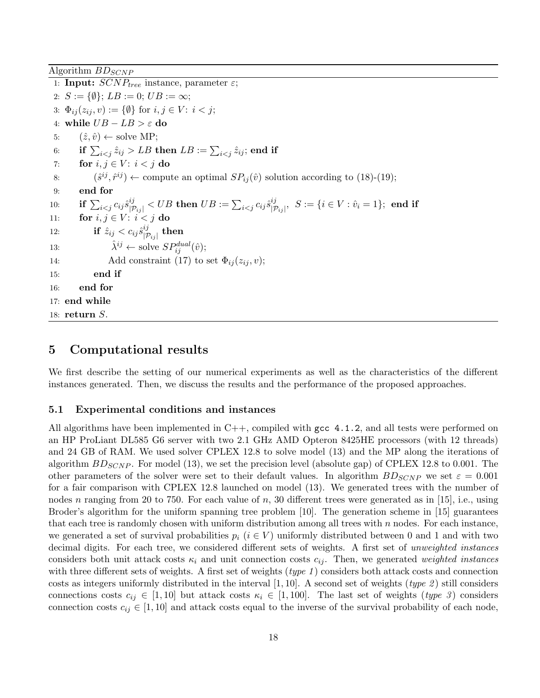Algorithm  $BD_{SCNP}$ 

1: Input:  $SCNP_{tree}$  instance, parameter  $\varepsilon$ ; 2:  $S := \{ \emptyset \};$   $LB := 0;$   $UB := \infty;$ 3:  $\Phi_{ij}(z_{ij}, v) := {\emptyset}$  for  $i, j \in V$ :  $i < j$ ; 4: while  $UB - LB > \varepsilon$  do 5:  $(\hat{z}, \hat{v}) \leftarrow \text{solve MP}$ ;  $\begin{array}{ll} \text{6:} & \quad \text{if $\sum_{i < j} \hat{z}_{ij} > LB$ then $LB := \sum_{i < j} \hat{z}_{ij}$; \text{end if} \end{array}$ 7: for  $i, j \in V$ :  $i < j$  do 8:  $(\hat{s}^{ij}, \hat{r}^{ij}) \leftarrow$  compute an optimal  $SP_{ij}(\hat{v})$  solution according to (18)-(19); 9: end for  $\mathrm{10:} \qquad \mathbf{if}\,\sum_{i < j} c_{ij} \hat{s}^{ij}_{|\mathcal{P}_{ij}|} < UB \mathbf{\ then\ } UB := \sum_{i < j} c_{ij} \hat{s}^{ij}_{|\mathcal{P}_{ij}|}$  $|{\mathcal P}_{ij}|^j,\,\ S:=\{i\in V: \hat{v}_i=1\};\,\ \textbf{end}\,\ \textbf{if}$ 11: for  $i, j \in V$ :  $i < j$  do 12: **if**  $\hat{z}_{ij} < c_{ij} \hat{s}_{|\tau}^{ij}$  $\frac{^{ij}}{\left| \mathcal{P}_{ij} \right|}$  then 13:  $\hat{\lambda}^{ij} \leftarrow \text{solve } SP_{ij}^{dual}(\hat{v});$ 14: Add constraint (17) to set  $\Phi_{ij}(z_{ij}, v)$ ; 15: end if 16: end for 17: end while 18: return S.

### 5 Computational results

We first describe the setting of our numerical experiments as well as the characteristics of the different instances generated. Then, we discuss the results and the performance of the proposed approaches.

#### 5.1 Experimental conditions and instances

All algorithms have been implemented in  $C++$ , compiled with gcc 4.1.2, and all tests were performed on an HP ProLiant DL585 G6 server with two 2.1 GHz AMD Opteron 8425HE processors (with 12 threads) and 24 GB of RAM. We used solver CPLEX 12.8 to solve model (13) and the MP along the iterations of algorithm  $BD_{SCNP}$ . For model (13), we set the precision level (absolute gap) of CPLEX 12.8 to 0.001. The other parameters of the solver were set to their default values. In algorithm  $B_{SGNP}$  we set  $\varepsilon = 0.001$ for a fair comparison with CPLEX 12.8 launched on model (13). We generated trees with the number of nodes n ranging from 20 to 750. For each value of n, 30 different trees were generated as in [15], i.e., using Broder's algorithm for the uniform spanning tree problem [10]. The generation scheme in [15] guarantees that each tree is randomly chosen with uniform distribution among all trees with  $n$  nodes. For each instance, we generated a set of survival probabilities  $p_i$  ( $i \in V$ ) uniformly distributed between 0 and 1 and with two decimal digits. For each tree, we considered different sets of weights. A first set of *unweighted instances* considers both unit attack costs  $\kappa_i$  and unit connection costs  $c_{ij}$ . Then, we generated weighted instances with three different sets of weights. A first set of weights (*type 1*) considers both attack costs and connection costs as integers uniformly distributed in the interval [1, 10]. A second set of weights (type 2) still considers connections costs  $c_{ij} \in [1, 10]$  but attack costs  $\kappa_i \in [1, 100]$ . The last set of weights (type 3) considers connection costs  $c_{ij} \in [1, 10]$  and attack costs equal to the inverse of the survival probability of each node,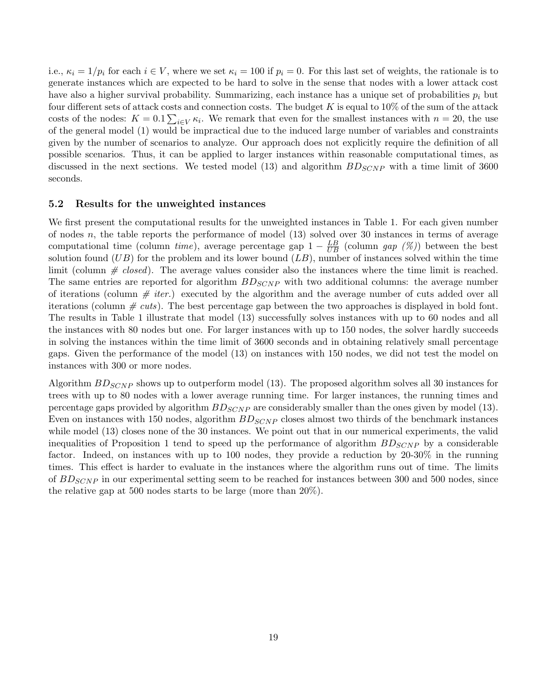i.e.,  $\kappa_i = 1/p_i$  for each  $i \in V$ , where we set  $\kappa_i = 100$  if  $p_i = 0$ . For this last set of weights, the rationale is to generate instances which are expected to be hard to solve in the sense that nodes with a lower attack cost have also a higher survival probability. Summarizing, each instance has a unique set of probabilities  $p_i$  but four different sets of attack costs and connection costs. The budget  $K$  is equal to  $10\%$  of the sum of the attack costs of the nodes:  $K = 0.1 \sum_{i \in V} \kappa_i$ . We remark that even for the smallest instances with  $n = 20$ , the use of the general model (1) would be impractical due to the induced large number of variables and constraints given by the number of scenarios to analyze. Our approach does not explicitly require the definition of all possible scenarios. Thus, it can be applied to larger instances within reasonable computational times, as discussed in the next sections. We tested model (13) and algorithm  $B_{SCNP}$  with a time limit of 3600 seconds.

#### 5.2 Results for the unweighted instances

We first present the computational results for the unweighted instances in Table 1. For each given number of nodes n, the table reports the performance of model  $(13)$  solved over 30 instances in terms of average computational time (column time), average percentage gap  $1 - \frac{LB}{UB}$  (column gap (%)) between the best solution found  $(UB)$  for the problem and its lower bound  $(LB)$ , number of instances solved within the time limit (column  $\# \text{ closed}$ ). The average values consider also the instances where the time limit is reached. The same entries are reported for algorithm  $B_{SCNP}$  with two additional columns: the average number of iterations (column  $\#$  *iter.*) executed by the algorithm and the average number of cuts added over all iterations (column  $\# \textit{cuts}$ ). The best percentage gap between the two approaches is displayed in bold font. The results in Table 1 illustrate that model (13) successfully solves instances with up to 60 nodes and all the instances with 80 nodes but one. For larger instances with up to 150 nodes, the solver hardly succeeds in solving the instances within the time limit of 3600 seconds and in obtaining relatively small percentage gaps. Given the performance of the model (13) on instances with 150 nodes, we did not test the model on instances with 300 or more nodes.

Algorithm  $B_{SCNP}$  shows up to outperform model (13). The proposed algorithm solves all 30 instances for trees with up to 80 nodes with a lower average running time. For larger instances, the running times and percentage gaps provided by algorithm  $BD_{SCNP}$  are considerably smaller than the ones given by model (13). Even on instances with 150 nodes, algorithm  $B_{SCNP}$  closes almost two thirds of the benchmark instances while model (13) closes none of the 30 instances. We point out that in our numerical experiments, the valid inequalities of Proposition 1 tend to speed up the performance of algorithm  $B_{S C NP}$  by a considerable factor. Indeed, on instances with up to 100 nodes, they provide a reduction by 20-30% in the running times. This effect is harder to evaluate in the instances where the algorithm runs out of time. The limits of  $B_{SCNP}$  in our experimental setting seem to be reached for instances between 300 and 500 nodes, since the relative gap at 500 nodes starts to be large (more than 20%).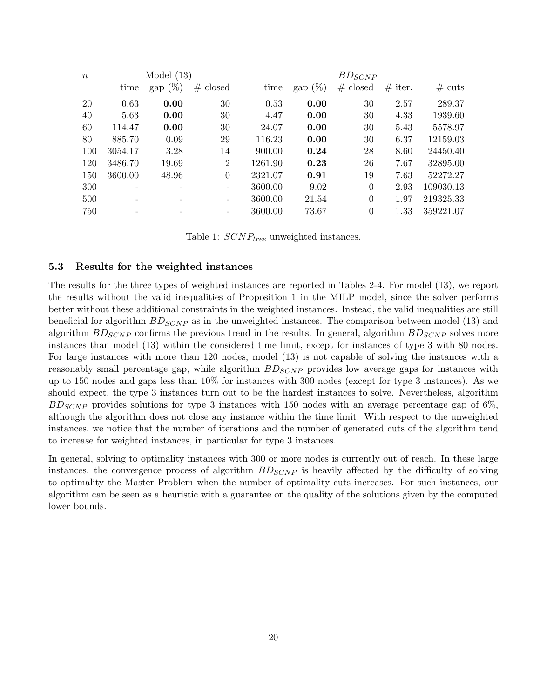| $\boldsymbol{n}$ |         | Model $(13)$ |                | $BD_{SCNP}$ |            |                |           |                  |  |
|------------------|---------|--------------|----------------|-------------|------------|----------------|-----------|------------------|--|
|                  | time    | (%<br>gap    | # closed       | time        | gap $(\%)$ | # closed       | $#$ iter. | $# \text{ cuts}$ |  |
| 20               | 0.63    | 0.00         | 30             | 0.53        | 0.00       | 30             | 2.57      | 289.37           |  |
| 40               | 5.63    | 0.00         | 30             | 4.47        | 0.00       | 30             | 4.33      | 1939.60          |  |
| 60               | 114.47  | 0.00         | 30             | 24.07       | 0.00       | 30             | 5.43      | 5578.97          |  |
| 80               | 885.70  | 0.09         | 29             | 116.23      | 0.00       | 30             | 6.37      | 12159.03         |  |
| 100              | 3054.17 | 3.28         | 14             | 900.00      | 0.24       | 28             | 8.60      | 24450.40         |  |
| 120              | 3486.70 | 19.69        | $\overline{2}$ | 1261.90     | 0.23       | 26             | 7.67      | 32895.00         |  |
| 150              | 3600.00 | 48.96        | $\theta$       | 2321.07     | 0.91       | 19             | 7.63      | 52272.27         |  |
| 300              |         |              |                | 3600.00     | 9.02       | $\overline{0}$ | 2.93      | 109030.13        |  |
| 500              |         |              |                | 3600.00     | 21.54      | $\overline{0}$ | 1.97      | 219325.33        |  |
| 750              |         |              |                | 3600.00     | 73.67      | $\overline{0}$ | 1.33      | 359221.07        |  |

Table 1:  $SCNP_{tree}$  unweighted instances.

#### 5.3 Results for the weighted instances

The results for the three types of weighted instances are reported in Tables 2-4. For model (13), we report the results without the valid inequalities of Proposition 1 in the MILP model, since the solver performs better without these additional constraints in the weighted instances. Instead, the valid inequalities are still beneficial for algorithm  $BD_{SCNP}$  as in the unweighted instances. The comparison between model (13) and algorithm  $BD_{SCNP}$  confirms the previous trend in the results. In general, algorithm  $BD_{SCNP}$  solves more instances than model (13) within the considered time limit, except for instances of type 3 with 80 nodes. For large instances with more than 120 nodes, model (13) is not capable of solving the instances with a reasonably small percentage gap, while algorithm  $B_{S CNP}$  provides low average gaps for instances with up to 150 nodes and gaps less than 10% for instances with 300 nodes (except for type 3 instances). As we should expect, the type 3 instances turn out to be the hardest instances to solve. Nevertheless, algorithm  $BD_{SCNP}$  provides solutions for type 3 instances with 150 nodes with an average percentage gap of 6%, although the algorithm does not close any instance within the time limit. With respect to the unweighted instances, we notice that the number of iterations and the number of generated cuts of the algorithm tend to increase for weighted instances, in particular for type 3 instances.

In general, solving to optimality instances with 300 or more nodes is currently out of reach. In these large instances, the convergence process of algorithm  $BDS_{SNP}$  is heavily affected by the difficulty of solving to optimality the Master Problem when the number of optimality cuts increases. For such instances, our algorithm can be seen as a heuristic with a guarantee on the quality of the solutions given by the computed lower bounds.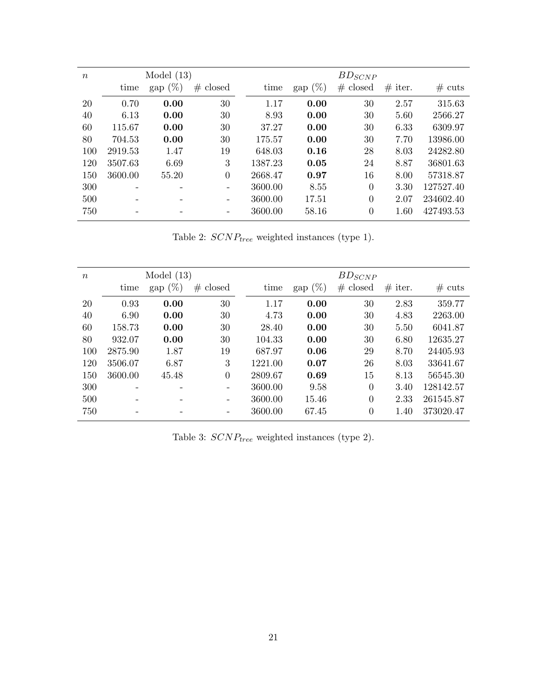| $\boldsymbol{n}$ |         | Model $(13)$ |                          | $BD_{SCNP}$ |            |                |           |           |  |  |
|------------------|---------|--------------|--------------------------|-------------|------------|----------------|-----------|-----------|--|--|
|                  | time    | gap $(\%)$   | # closed                 | time        | gap $(\%)$ | # closed       | $#$ iter. | $#$ cuts  |  |  |
| 20               | 0.70    | 0.00         | 30                       | 1.17        | 0.00       | 30             | 2.57      | 315.63    |  |  |
| 40               | 6.13    | 0.00         | 30                       | 8.93        | 0.00       | 30             | 5.60      | 2566.27   |  |  |
| 60               | 115.67  | 0.00         | 30                       | 37.27       | 0.00       | 30             | 6.33      | 6309.97   |  |  |
| 80               | 704.53  | 0.00         | 30                       | 175.57      | 0.00       | 30             | 7.70      | 13986.00  |  |  |
| 100              | 2919.53 | 1.47         | 19                       | 648.03      | 0.16       | 28             | 8.03      | 24282.80  |  |  |
| 120              | 3507.63 | 6.69         | 3                        | 1387.23     | 0.05       | 24             | 8.87      | 36801.63  |  |  |
| 150              | 3600.00 | 55.20        | $\overline{0}$           | 2668.47     | 0.97       | 16             | 8.00      | 57318.87  |  |  |
| 300              |         |              | $\overline{\phantom{a}}$ | 3600.00     | 8.55       | $\overline{0}$ | 3.30      | 127527.40 |  |  |
| 500              |         |              | $\qquad \qquad$          | 3600.00     | 17.51      | $\theta$       | 2.07      | 234602.40 |  |  |
| 750              |         |              |                          | 3600.00     | 58.16      | $\theta$       | 1.60      | 427493.53 |  |  |

Table 2:  $SCNP_{tree}$  weighted instances (type 1).

| $\boldsymbol{n}$ |         | Model $(13)$       |                          | $BD_{SCNP}$ |                    |                |           |                  |  |  |
|------------------|---------|--------------------|--------------------------|-------------|--------------------|----------------|-----------|------------------|--|--|
|                  | time    | $\text{gap } (\%)$ | # closed                 | time        | $\text{gap } (\%)$ | # closed       | $#$ iter. | $# \text{ cuts}$ |  |  |
| 20               | 0.93    | 0.00               | 30                       | 1.17        | 0.00               | 30             | 2.83      | 359.77           |  |  |
| 40               | 6.90    | 0.00               | 30                       | 4.73        | 0.00               | 30             | 4.83      | 2263.00          |  |  |
| 60               | 158.73  | 0.00               | 30                       | 28.40       | 0.00               | 30             | 5.50      | 6041.87          |  |  |
| 80               | 932.07  | 0.00               | 30                       | 104.33      | 0.00               | 30             | 6.80      | 12635.27         |  |  |
| 100              | 2875.90 | 1.87               | 19                       | 687.97      | 0.06               | 29             | 8.70      | 24405.93         |  |  |
| 120              | 3506.07 | 6.87               | 3                        | 1221.00     | 0.07               | 26             | 8.03      | 33641.67         |  |  |
| 150              | 3600.00 | 45.48              | $\theta$                 | 2809.67     | 0.69               | 15             | 8.13      | 56545.30         |  |  |
| 300              |         |                    | $\qquad \qquad -$        | 3600.00     | 9.58               | $\overline{0}$ | 3.40      | 128142.57        |  |  |
| 500              |         |                    | $\overline{\phantom{a}}$ | 3600.00     | 15.46              | $\overline{0}$ | 2.33      | 261545.87        |  |  |
| 750              |         |                    | $\overline{\phantom{a}}$ | 3600.00     | 67.45              | $\overline{0}$ | 1.40      | 373020.47        |  |  |

Table 3:  $SCNP_{tree}$  weighted instances (type 2).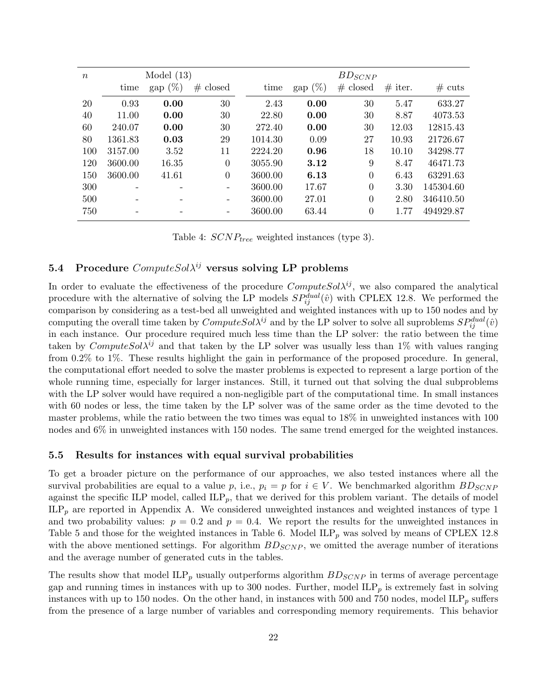| $\boldsymbol{n}$ |         | Model $(13)$       |          | $BD_{SCNP}$ |            |                |           |                  |  |
|------------------|---------|--------------------|----------|-------------|------------|----------------|-----------|------------------|--|
|                  | time    | $\text{gap } (\%)$ | # closed | time        | gap $(\%)$ | # closed       | $#$ iter. | $# \text{ cuts}$ |  |
| 20               | 0.93    | 0.00               | 30       | 2.43        | 0.00       | 30             | 5.47      | 633.27           |  |
| 40               | 11.00   | 0.00               | 30       | 22.80       | 0.00       | 30             | 8.87      | 4073.53          |  |
| 60               | 240.07  | 0.00               | 30       | 272.40      | 0.00       | 30             | 12.03     | 12815.43         |  |
| 80               | 1361.83 | 0.03               | 29       | 1014.30     | 0.09       | 27             | 10.93     | 21726.67         |  |
| 100              | 3157.00 | 3.52               | 11       | 2224.20     | 0.96       | 18             | 10.10     | 34298.77         |  |
| 120              | 3600.00 | 16.35              | $\theta$ | 3055.90     | 3.12       | 9              | 8.47      | 46471.73         |  |
| 150              | 3600.00 | 41.61              | $\theta$ | 3600.00     | 6.13       | $\overline{0}$ | 6.43      | 63291.63         |  |
| 300              |         |                    |          | 3600.00     | 17.67      | $\overline{0}$ | 3.30      | 145304.60        |  |
| 500              |         |                    |          | 3600.00     | 27.01      | $\overline{0}$ | 2.80      | 346410.50        |  |
| 750              |         |                    |          | 3600.00     | 63.44      | $\overline{0}$ | 1.77      | 494929.87        |  |
|                  |         |                    |          |             |            |                |           |                  |  |

Table 4:  $SCNP_{tree}$  weighted instances (type 3).

# 5.4 Procedure  $ComputeSol^i$  versus solving LP problems

In order to evaluate the effectiveness of the procedure  $ComputeSol^j$ , we also compared the analytical procedure with the alternative of solving the LP models  $SP_{ij}^{dual}(\hat{v})$  with CPLEX 12.8. We performed the comparison by considering as a test-bed all unweighted and weighted instances with up to 150 nodes and by computing the overall time taken by  $ComputeSol\lambda^{ij}$  and by the LP solver to solve all suproblems  $SP_{ij}^{dual}(\hat{v})$ in each instance. Our procedure required much less time than the LP solver: the ratio between the time taken by ComputeSol $\lambda^{ij}$  and that taken by the LP solver was usually less than 1% with values ranging from 0.2% to 1%. These results highlight the gain in performance of the proposed procedure. In general, the computational effort needed to solve the master problems is expected to represent a large portion of the whole running time, especially for larger instances. Still, it turned out that solving the dual subproblems with the LP solver would have required a non-negligible part of the computational time. In small instances with 60 nodes or less, the time taken by the LP solver was of the same order as the time devoted to the master problems, while the ratio between the two times was equal to 18% in unweighted instances with 100 nodes and 6% in unweighted instances with 150 nodes. The same trend emerged for the weighted instances.

### 5.5 Results for instances with equal survival probabilities

To get a broader picture on the performance of our approaches, we also tested instances where all the survival probabilities are equal to a value p, i.e.,  $p_i = p$  for  $i \in V$ . We benchmarked algorithm  $B_{SCNP}$ against the specific ILP model, called  $\text{ILP}_p$ , that we derived for this problem variant. The details of model  $ILP<sub>p</sub>$  are reported in Appendix A. We considered unweighted instances and weighted instances of type 1 and two probability values:  $p = 0.2$  and  $p = 0.4$ . We report the results for the unweighted instances in Table 5 and those for the weighted instances in Table 6. Model ILP<sub>p</sub> was solved by means of CPLEX 12.8 with the above mentioned settings. For algorithm  $BD_{SCNP}$ , we omitted the average number of iterations and the average number of generated cuts in the tables.

The results show that model  $\text{ILP}_p$  usually outperforms algorithm  $BDS_{CNP}$  in terms of average percentage gap and running times in instances with up to 300 nodes. Further, model  $ILP<sub>p</sub>$  is extremely fast in solving instances with up to 150 nodes. On the other hand, in instances with 500 and 750 nodes, model  $\text{ILP}_p$  suffers from the presence of a large number of variables and corresponding memory requirements. This behavior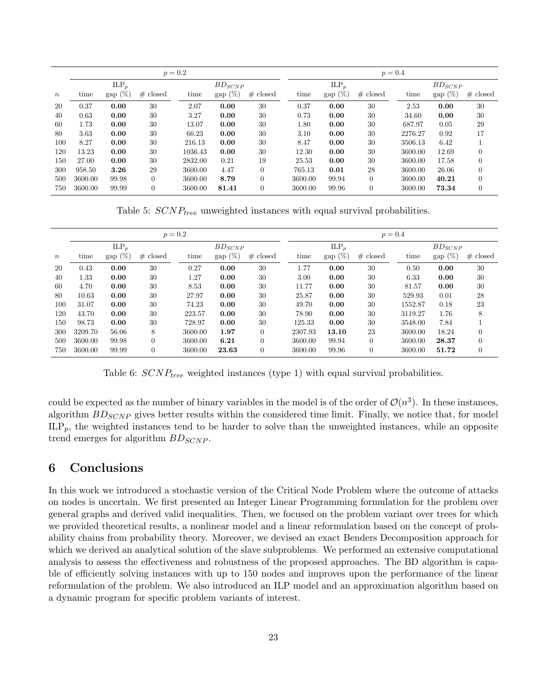|                  | $p = 0.2$ |            |          |             |            |          |         | $p = 0.4$  |          |             |            |          |  |  |
|------------------|-----------|------------|----------|-------------|------------|----------|---------|------------|----------|-------------|------------|----------|--|--|
|                  |           | $ILP_p$    |          | $BD_{SCNP}$ |            |          | $ILP_n$ |            |          | $BD_{SCNP}$ |            |          |  |  |
| $\boldsymbol{n}$ | time      | gap $(\%)$ | # closed | time        | gap $(\%)$ | # closed | time    | gap $(\%)$ | # closed | time        | gap $(\%)$ | # closed |  |  |
| 20               | 0.37      | 0.00       | 30       | 2.07        | 0.00       | 30       | 0.37    | 0.00       | 30       | 2.53        | 0.00       | 30       |  |  |
| 40               | 0.63      | 0.00       | 30       | 3.27        | 0.00       | 30       | 0.73    | 0.00       | 30       | 34.60       | 0.00       | 30       |  |  |
| 60               | 1.73      | 0.00       | 30       | 13.07       | 0.00       | 30       | 1.80    | 0.00       | 30       | 687.97      | 0.05       | 29       |  |  |
| 80               | 3.63      | 0.00       | 30       | 66.23       | 0.00       | 30       | 3.10    | 0.00       | 30       | 2276.27     | 0.92       | 17       |  |  |
| 100              | 8.27      | 0.00       | 30       | 216.13      | 0.00       | 30       | 8.47    | 0.00       | 30       | 3506.13     | 6.42       |          |  |  |
| 120              | 13.23     | 0.00       | 30       | 1036.43     | 0.00       | 30       | 12.30   | 0.00       | 30       | 3600.00     | 12.69      | $\theta$ |  |  |
| 150              | 27.00     | 0.00       | 30       | 2832.00     | 0.21       | 19       | 25.53   | 0.00       | 30       | 3600.00     | 17.58      | $\theta$ |  |  |
| 300              | 958.50    | 3.26       | 29       | 3600.00     | 4.47       | $\Omega$ | 765.13  | 0.01       | 28       | 3600.00     | 26.06      | $\theta$ |  |  |
| 500              | 3600.00   | 99.98      | $\Omega$ | 3600.00     | 8.79       | $\Omega$ | 3600.00 | 99.94      | $\theta$ | 3600.00     | 40.21      | $\theta$ |  |  |
| 750              | 3600.00   | 99.99      |          | 3600.00     | 81.41      | $\theta$ | 3600.00 | 99.96      | $\theta$ | 3600.00     | 73.34      | $\theta$ |  |  |

Table 5:  $SCNP_{tree}$  unweighted instances with equal survival probabilities.

|                  | $p = 0.2$ |            |          |             |                    |                |         | $p = 0.4$  |          |         |             |                |  |  |
|------------------|-----------|------------|----------|-------------|--------------------|----------------|---------|------------|----------|---------|-------------|----------------|--|--|
|                  |           | $ILP_p$    |          | $BD_{SCNP}$ |                    |                |         | $ILP_p$    |          |         | $BD_{SCNP}$ |                |  |  |
| $\boldsymbol{n}$ | time      | gap $(\%)$ | # closed | time        | $\text{gap } (\%)$ | # closed       | time    | gap $(\%)$ | # closed | time    | gap $(\%)$  | # closed       |  |  |
| 20               | 0.43      | 0.00       | 30       | 0.27        | 0.00               | 30             | 1.77    | 0.00       | 30       | 0.50    | 0.00        | 30             |  |  |
| 40               | 1.33      | 0.00       | 30       | 1.27        | 0.00               | 30             | 3.00    | 0.00       | 30       | 6.33    | 0.00        | 30             |  |  |
| 60               | 4.70      | 0.00       | 30       | 8.53        | 0.00               | 30             | 11.77   | 0.00       | 30       | 81.57   | 0.00        | 30             |  |  |
| 80               | 10.63     | 0.00       | 30       | 27.97       | 0.00               | 30             | 25.87   | 0.00       | 30       | 529.93  | 0.01        | 28             |  |  |
| 100              | 31.07     | 0.00       | 30       | 74.23       | 0.00               | 30             | 49.70   | 0.00       | 30       | 1552.87 | 0.18        | 23             |  |  |
| 120              | 43.70     | 0.00       | 30       | 223.57      | 0.00               | 30             | 78.90   | 0.00       | 30       | 3119.27 | 1.76        | 8              |  |  |
| 150              | 98.73     | 0.00       | 30       | 728.97      | 0.00               | 30             | 125.33  | 0.00       | 30       | 3548.00 | 7.84        |                |  |  |
| 300              | 3209.70   | 56.06      | 8        | 3600.00     | 1.97               | $\Omega$       | 2307.93 | 13.10      | 23       | 3600.00 | 18.24       | $\Omega$       |  |  |
| 500              | 3600.00   | 99.98      | $\theta$ | 3600.00     | 6.21               | $\Omega$       | 3600.00 | 99.94      | $\theta$ | 3600.00 | 28.37       | $\theta$       |  |  |
| 750              | 3600.00   | 99.99      | $\theta$ | 3600.00     | 23.63              | $\overline{0}$ | 3600.00 | 99.96      | $\theta$ | 3600.00 | 51.72       | $\overline{0}$ |  |  |

Table 6:  $SCNP_{tree}$  weighted instances (type 1) with equal survival probabilities.

could be expected as the number of binary variables in the model is of the order of  $\mathcal{O}(n^3)$ . In these instances, algorithm  $B_{SCNP}$  gives better results within the considered time limit. Finally, we notice that, for model  $\text{ILP}_p$ , the weighted instances tend to be harder to solve than the unweighted instances, while an opposite trend emerges for algorithm  $BD_{SCNP}$ .

## 6 Conclusions

In this work we introduced a stochastic version of the Critical Node Problem where the outcome of attacks on nodes is uncertain. We first presented an Integer Linear Programming formulation for the problem over general graphs and derived valid inequalities. Then, we focused on the problem variant over trees for which we provided theoretical results, a nonlinear model and a linear reformulation based on the concept of probability chains from probability theory. Moreover, we devised an exact Benders Decomposition approach for which we derived an analytical solution of the slave subproblems. We performed an extensive computational analysis to assess the effectiveness and robustness of the proposed approaches. The BD algorithm is capable of efficiently solving instances with up to 150 nodes and improves upon the performance of the linear reformulation of the problem. We also introduced an ILP model and an approximation algorithm based on a dynamic program for specific problem variants of interest.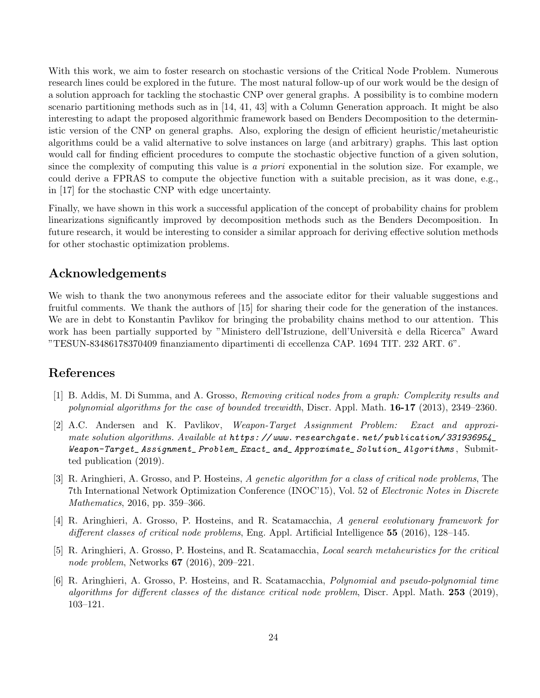With this work, we aim to foster research on stochastic versions of the Critical Node Problem. Numerous research lines could be explored in the future. The most natural follow-up of our work would be the design of a solution approach for tackling the stochastic CNP over general graphs. A possibility is to combine modern scenario partitioning methods such as in [14, 41, 43] with a Column Generation approach. It might be also interesting to adapt the proposed algorithmic framework based on Benders Decomposition to the deterministic version of the CNP on general graphs. Also, exploring the design of efficient heuristic/metaheuristic algorithms could be a valid alternative to solve instances on large (and arbitrary) graphs. This last option would call for finding efficient procedures to compute the stochastic objective function of a given solution, since the complexity of computing this value is a *priori* exponential in the solution size. For example, we could derive a FPRAS to compute the objective function with a suitable precision, as it was done, e.g., in [17] for the stochastic CNP with edge uncertainty.

Finally, we have shown in this work a successful application of the concept of probability chains for problem linearizations significantly improved by decomposition methods such as the Benders Decomposition. In future research, it would be interesting to consider a similar approach for deriving effective solution methods for other stochastic optimization problems.

# Acknowledgements

We wish to thank the two anonymous referees and the associate editor for their valuable suggestions and fruitful comments. We thank the authors of [15] for sharing their code for the generation of the instances. We are in debt to Konstantin Pavlikov for bringing the probability chains method to our attention. This work has been partially supported by "Ministero dell'Istruzione, dell'Università e della Ricerca" Award "TESUN-83486178370409 finanziamento dipartimenti di eccellenza CAP. 1694 TIT. 232 ART. 6".

# References

- [1] B. Addis, M. Di Summa, and A. Grosso, Removing critical nodes from a graph: Complexity results and polynomial algorithms for the case of bounded treewidth, Discr. Appl. Math.  $16-17$  (2013), 2349–2360.
- [2] A.C. Andersen and K. Pavlikov, Weapon-Target Assignment Problem: Exact and approximate solution algorithms. Available at https://www.researchgate.net/publication/331936954 Weapon-Target\_ Assignment\_ Problem\_ Exact\_ and\_ Approximate\_ Solution\_ Algorithms , Submitted publication (2019).
- [3] R. Aringhieri, A. Grosso, and P. Hosteins, A genetic algorithm for a class of critical node problems, The 7th International Network Optimization Conference (INOC'15), Vol. 52 of Electronic Notes in Discrete Mathematics, 2016, pp. 359–366.
- [4] R. Aringhieri, A. Grosso, P. Hosteins, and R. Scatamacchia, A general evolutionary framework for different classes of critical node problems, Eng. Appl. Artificial Intelligence 55 (2016), 128–145.
- [5] R. Aringhieri, A. Grosso, P. Hosteins, and R. Scatamacchia, Local search metaheuristics for the critical node problem, Networks 67 (2016), 209–221.
- [6] R. Aringhieri, A. Grosso, P. Hosteins, and R. Scatamacchia, Polynomial and pseudo-polynomial time algorithms for different classes of the distance critical node problem, Discr. Appl. Math. 253 (2019), 103–121.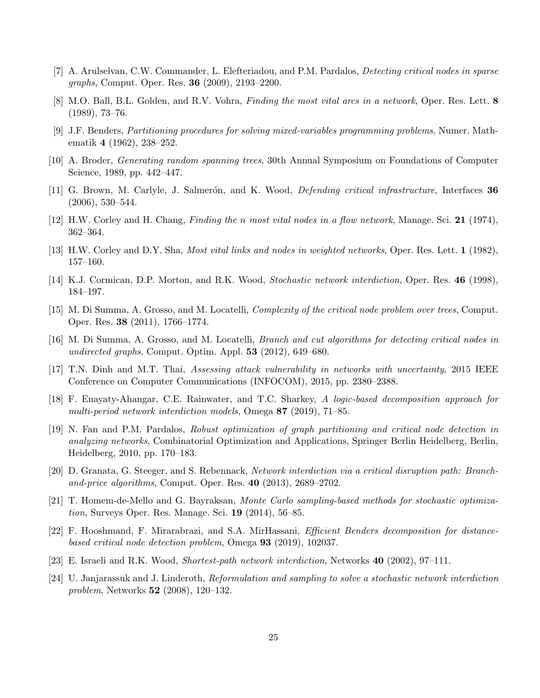- [7] A. Arulselvan, C.W. Commander, L. Elefteriadou, and P.M. Pardalos, Detecting critical nodes in sparse graphs, Comput. Oper. Res. 36 (2009), 2193–2200.
- [8] M.O. Ball, B.L. Golden, and R.V. Vohra, Finding the most vital arcs in a network, Oper. Res. Lett. 8 (1989), 73–76.
- [9] J.F. Benders, Partitioning procedures for solving mixed-variables programming problems, Numer. Mathematik 4 (1962), 238–252.
- [10] A. Broder, Generating random spanning trees, 30th Annual Symposium on Foundations of Computer Science, 1989, pp. 442–447.
- [11] G. Brown, M. Carlyle, J. Salmerón, and K. Wood, *Defending critical infrastructure*, Interfaces 36 (2006), 530–544.
- [12] H.W. Corley and H. Chang, Finding the n most vital nodes in a flow network, Manage. Sci. 21 (1974), 362–364.
- [13] H.W. Corley and D.Y. Sha, Most vital links and nodes in weighted networks, Oper. Res. Lett. 1 (1982), 157–160.
- [14] K.J. Cormican, D.P. Morton, and R.K. Wood, Stochastic network interdiction, Oper. Res. 46 (1998), 184–197.
- [15] M. Di Summa, A. Grosso, and M. Locatelli, Complexity of the critical node problem over trees, Comput. Oper. Res. 38 (2011), 1766–1774.
- [16] M. Di Summa, A. Grosso, and M. Locatelli, Branch and cut algorithms for detecting critical nodes in undirected graphs, Comput. Optim. Appl. 53 (2012), 649–680.
- [17] T.N. Dinh and M.T. Thai, Assessing attack vulnerability in networks with uncertainty, 2015 IEEE Conference on Computer Communications (INFOCOM), 2015, pp. 2380–2388.
- [18] F. Enayaty-Ahangar, C.E. Rainwater, and T.C. Sharkey, A logic-based decomposition approach for multi-period network interdiction models, Omega 87 (2019), 71–85.
- [19] N. Fan and P.M. Pardalos, Robust optimization of graph partitioning and critical node detection in analyzing networks, Combinatorial Optimization and Applications, Springer Berlin Heidelberg, Berlin, Heidelberg, 2010, pp. 170–183.
- [20] D. Granata, G. Steeger, and S. Rebennack, Network interdiction via a critical disruption path: Branchand-price algorithms, Comput. Oper. Res. 40 (2013), 2689–2702.
- [21] T. Homem-de-Mello and G. Bayraksan, Monte Carlo sampling-based methods for stochastic optimization, Surveys Oper. Res. Manage. Sci. 19 (2014), 56–85.
- [22] F. Hooshmand, F. Mirarabrazi, and S.A. MirHassani, Efficient Benders decomposition for distancebased critical node detection problem, Omega 93 (2019), 102037.
- [23] E. Israeli and R.K. Wood, Shortest-path network interdiction, Networks 40 (2002), 97–111.
- [24] U. Janjarassuk and J. Linderoth, Reformulation and sampling to solve a stochastic network interdiction problem, Networks 52 (2008), 120–132.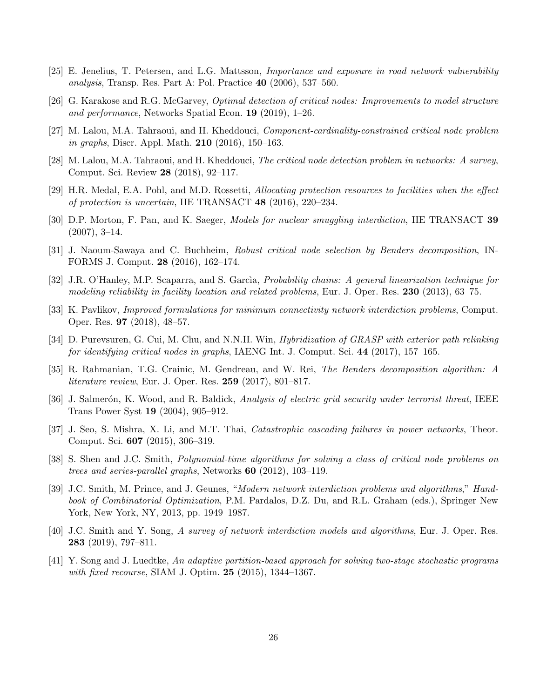- [25] E. Jenelius, T. Petersen, and L.G. Mattsson, Importance and exposure in road network vulnerability analysis, Transp. Res. Part A: Pol. Practice 40 (2006), 537–560.
- [26] G. Karakose and R.G. McGarvey, Optimal detection of critical nodes: Improvements to model structure and performance, Networks Spatial Econ. 19 (2019), 1–26.
- [27] M. Lalou, M.A. Tahraoui, and H. Kheddouci, Component-cardinality-constrained critical node problem in graphs, Discr. Appl. Math. 210 (2016), 150–163.
- [28] M. Lalou, M.A. Tahraoui, and H. Kheddouci, The critical node detection problem in networks: A survey, Comput. Sci. Review 28 (2018), 92–117.
- [29] H.R. Medal, E.A. Pohl, and M.D. Rossetti, Allocating protection resources to facilities when the effect of protection is uncertain, IIE TRANSACT 48 (2016), 220–234.
- [30] D.P. Morton, F. Pan, and K. Saeger, *Models for nuclear smuggling interdiction*, IIE TRANSACT 39  $(2007), 3-14.$
- [31] J. Naoum-Sawaya and C. Buchheim, Robust critical node selection by Benders decomposition, IN-FORMS J. Comput. 28 (2016), 162–174.
- [32] J.R. O'Hanley, M.P. Scaparra, and S. García, Probability chains: A general linearization technique for modeling reliability in facility location and related problems, Eur. J. Oper. Res. 230 (2013), 63–75.
- [33] K. Pavlikov, Improved formulations for minimum connectivity network interdiction problems, Comput. Oper. Res. 97 (2018), 48–57.
- [34] D. Purevsuren, G. Cui, M. Chu, and N.N.H. Win, *Hybridization of GRASP with exterior path relinking* for identifying critical nodes in graphs, IAENG Int. J. Comput. Sci. 44 (2017), 157–165.
- [35] R. Rahmanian, T.G. Crainic, M. Gendreau, and W. Rei, The Benders decomposition algorithm: A literature review, Eur. J. Oper. Res. 259 (2017), 801–817.
- [36] J. Salmerón, K. Wood, and R. Baldick, Analysis of electric grid security under terrorist threat, IEEE Trans Power Syst 19 (2004), 905–912.
- [37] J. Seo, S. Mishra, X. Li, and M.T. Thai, Catastrophic cascading failures in power networks, Theor. Comput. Sci. 607 (2015), 306–319.
- [38] S. Shen and J.C. Smith, Polynomial-time algorithms for solving a class of critical node problems on trees and series-parallel graphs, Networks 60 (2012), 103–119.
- [39] J.C. Smith, M. Prince, and J. Geunes, "Modern network interdiction problems and algorithms," Handbook of Combinatorial Optimization, P.M. Pardalos, D.Z. Du, and R.L. Graham (eds.), Springer New York, New York, NY, 2013, pp. 1949–1987.
- [40] J.C. Smith and Y. Song, A survey of network interdiction models and algorithms, Eur. J. Oper. Res. 283 (2019), 797–811.
- [41] Y. Song and J. Luedtke, An adaptive partition-based approach for solving two-stage stochastic programs with fixed recourse, SIAM J. Optim. **25** (2015), 1344–1367.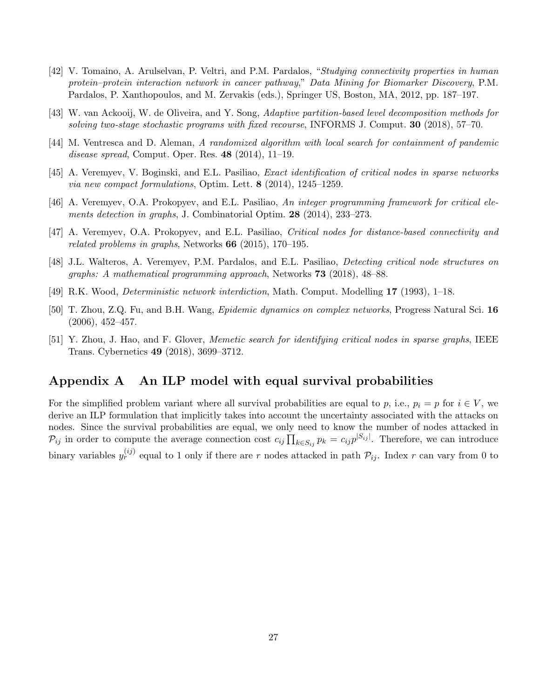- [42] V. Tomaino, A. Arulselvan, P. Veltri, and P.M. Pardalos, "Studying connectivity properties in human protein–protein interaction network in cancer pathway," Data Mining for Biomarker Discovery, P.M. Pardalos, P. Xanthopoulos, and M. Zervakis (eds.), Springer US, Boston, MA, 2012, pp. 187–197.
- [43] W. van Ackooij, W. de Oliveira, and Y. Song, Adaptive partition-based level decomposition methods for solving two-stage stochastic programs with fixed recourse, INFORMS J. Comput. **30** (2018), 57–70.
- [44] M. Ventresca and D. Aleman, A randomized algorithm with local search for containment of pandemic disease spread, Comput. Oper. Res. 48 (2014), 11–19.
- [45] A. Veremyev, V. Boginski, and E.L. Pasiliao, Exact identification of critical nodes in sparse networks via new compact formulations, Optim. Lett. 8 (2014), 1245–1259.
- [46] A. Veremyev, O.A. Prokopyev, and E.L. Pasiliao, An integer programming framework for critical elements detection in graphs, J. Combinatorial Optim. 28 (2014), 233–273.
- [47] A. Veremyev, O.A. Prokopyev, and E.L. Pasiliao, Critical nodes for distance-based connectivity and related problems in graphs, Networks  $66$  (2015), 170–195.
- [48] J.L. Walteros, A. Veremyev, P.M. Pardalos, and E.L. Pasiliao, Detecting critical node structures on graphs: A mathematical programming approach, Networks 73 (2018), 48–88.
- [49] R.K. Wood, Deterministic network interdiction, Math. Comput. Modelling 17 (1993), 1–18.
- [50] T. Zhou, Z.Q. Fu, and B.H. Wang, Epidemic dynamics on complex networks, Progress Natural Sci. 16 (2006), 452–457.
- [51] Y. Zhou, J. Hao, and F. Glover, Memetic search for identifying critical nodes in sparse graphs, IEEE Trans. Cybernetics 49 (2018), 3699–3712.

## Appendix A An ILP model with equal survival probabilities

For the simplified problem variant where all survival probabilities are equal to p, i.e.,  $p_i = p$  for  $i \in V$ , we derive an ILP formulation that implicitly takes into account the uncertainty associated with the attacks on nodes. Since the survival probabilities are equal, we only need to know the number of nodes attacked in  $\mathcal{P}_{ij}$  in order to compute the average connection cost  $c_{ij} \prod_{k \in S_{ij}} p_k = c_{ij} p^{|S_{ij}|}$ . Therefore, we can introduce binary variables  $y_r^{(ij)}$  equal to 1 only if there are r nodes attacked in path  $\mathcal{P}_{ij}$ . Index r can vary from 0 to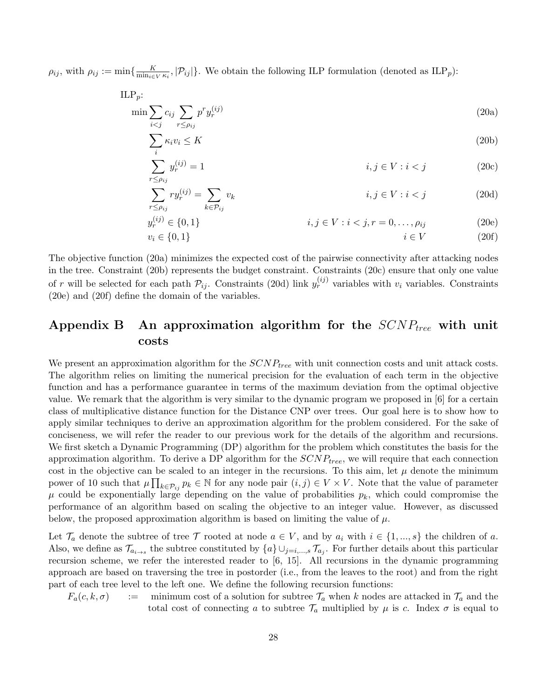$\rho_{ij}$ , with  $\rho_{ij} := \min\{\frac{K}{\min_{i \in \mathcal{I}}}$  $\frac{K}{\min_{i\in V}\kappa_i},$   $|\mathcal{P}_{ij}|\}.$  We obtain the following ILP formulation (denoted as ILP<sub>p</sub>):

$$
\text{ILP}_p: \min_{i < j} \sum_{r \le \rho_{ij}} p^r y_r^{(ij)} \tag{20a}
$$

$$
\sum_{i} \kappa_i v_i \le K \tag{20b}
$$

$$
\sum_{i \le i} y_r^{(ij)} = 1 \tag{20c}
$$

$$
\sum_{r \le \rho_{ij}} r y_r^{(ij)} = \sum_{k \in \mathcal{P}_{ij}} v_k \qquad i, j \in V : i < j \tag{20d}
$$

$$
y_r^{(ij)} \in \{0, 1\} \qquad i, j \in V : i < j, r = 0, \dots, \rho_{ij} \qquad (20e)
$$
\n
$$
v_i \in \{0, 1\} \qquad i \in V \qquad (20f)
$$

The objective function (20a) minimizes the expected cost of the pairwise connectivity after attacking nodes in the tree. Constraint (20b) represents the budget constraint. Constraints (20c) ensure that only one value of r will be selected for each path  $\mathcal{P}_{ij}$ . Constraints (20d) link  $y_r^{(ij)}$  variables with  $v_i$  variables. Constraints (20e) and (20f) define the domain of the variables.

# Appendix B An approximation algorithm for the  $SCNP_{tree}$  with unit costs

We present an approximation algorithm for the  $SCNP_{tree}$  with unit connection costs and unit attack costs. The algorithm relies on limiting the numerical precision for the evaluation of each term in the objective function and has a performance guarantee in terms of the maximum deviation from the optimal objective value. We remark that the algorithm is very similar to the dynamic program we proposed in [6] for a certain class of multiplicative distance function for the Distance CNP over trees. Our goal here is to show how to apply similar techniques to derive an approximation algorithm for the problem considered. For the sake of conciseness, we will refer the reader to our previous work for the details of the algorithm and recursions. We first sketch a Dynamic Programming (DP) algorithm for the problem which constitutes the basis for the approximation algorithm. To derive a DP algorithm for the  $SCNP_{tree}$ , we will require that each connection cost in the objective can be scaled to an integer in the recursions. To this aim, let  $\mu$  denote the minimum power of 10 such that  $\mu \prod_{k \in \mathcal{P}_{ij}} p_k \in \mathbb{N}$  for any node pair  $(i, j) \in V \times V$ . Note that the value of parameter  $\mu$  could be exponentially large depending on the value of probabilities  $p_k$ , which could compromise the performance of an algorithm based on scaling the objective to an integer value. However, as discussed below, the proposed approximation algorithm is based on limiting the value of  $\mu$ .

Let  $\mathcal{T}_a$  denote the subtree of tree  $\mathcal T$  rooted at node  $a \in V$ , and by  $a_i$  with  $i \in \{1, ..., s\}$  the children of a. Also, we define as  $\mathcal{T}_{a_{i\to s}}$  the subtree constituted by  $\{a\} \cup_{j=i,\dots,s} \mathcal{T}_{a_j}$ . For further details about this particular recursion scheme, we refer the interested reader to [6, 15]. All recursions in the dynamic programming approach are based on traversing the tree in postorder (i.e., from the leaves to the root) and from the right part of each tree level to the left one. We define the following recursion functions:

 $F_a(c, k, \sigma)$  : minimum cost of a solution for subtree  $\mathcal{T}_a$  when k nodes are attacked in  $\mathcal{T}_a$  and the total cost of connecting a to subtree  $\mathcal{T}_a$  multiplied by  $\mu$  is c. Index  $\sigma$  is equal to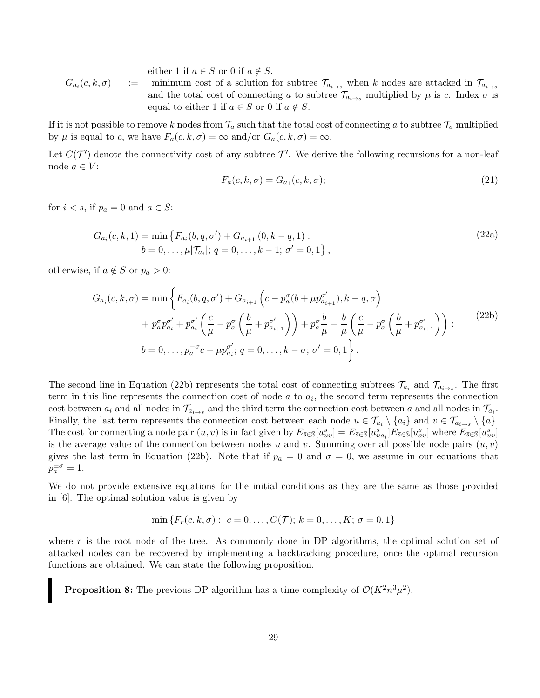either 1 if  $a \in S$  or 0 if  $a \notin S$ .  $G_{a_i}(c, k, \sigma)$  := minimum cost of a solution for subtree  $\mathcal{T}_{a_{i\to s}}$  when k nodes are attacked in  $\mathcal{T}_{a_{i\to s}}$ and the total cost of connecting a to subtree  $\mathcal{T}_{a_{i\rightarrow s}}$  multiplied by  $\mu$  is c. Index  $\sigma$  is equal to either 1 if  $a \in S$  or 0 if  $a \notin S$ .

If it is not possible to remove k nodes from  $\mathcal{T}_a$  such that the total cost of connecting a to subtree  $\mathcal{T}_a$  multiplied by  $\mu$  is equal to c, we have  $F_a(c, k, \sigma) = \infty$  and/or  $G_a(c, k, \sigma) = \infty$ .

Let  $C(\mathcal{T}')$  denote the connectivity cost of any subtree  $\mathcal{T}'$ . We derive the following recursions for a non-leaf node  $a \in V$ :

$$
F_a(c, k, \sigma) = G_{a_1}(c, k, \sigma); \tag{21}
$$

for  $i < s$ , if  $p_a = 0$  and  $a \in S$ :

$$
G_{a_i}(c, k, 1) = \min \{ F_{a_i}(b, q, \sigma') + G_{a_{i+1}}(0, k - q, 1) : b = 0, \dots, \mu | \mathcal{T}_{a_i} |; q = 0, \dots, k - 1; \sigma' = 0, 1 \},
$$
\n(22a)

otherwise, if  $a \notin S$  or  $p_a > 0$ :

$$
G_{a_i}(c, k, \sigma) = \min \left\{ F_{a_i}(b, q, \sigma') + G_{a_{i+1}} \left( c - p_a^{\sigma} (b + \mu p_{a_{i+1}}^{\sigma'}) , k - q, \sigma \right) \right.+ p_a^{\sigma} p_{a_i}^{\sigma'} + p_{a_i}^{\sigma'} \left( \frac{c}{\mu} - p_a^{\sigma} \left( \frac{b}{\mu} + p_{a_{i+1}}^{\sigma'} \right) \right) + p_a^{\sigma} \frac{b}{\mu} + \frac{b}{\mu} \left( \frac{c}{\mu} - p_a^{\sigma} \left( \frac{b}{\mu} + p_{a_{i+1}}^{\sigma'} \right) \right): \qquad (22b)b = 0, ..., p_a^{\sigma} c - \mu p_{a_i}^{\sigma'}; q = 0, ..., k - \sigma; \sigma' = 0, 1 \right\}.
$$

The second line in Equation (22b) represents the total cost of connecting subtrees  $\mathcal{T}_{a_i}$  and  $\mathcal{T}_{a_{i\to s}}$ . The first term in this line represents the connection cost of node  $a$  to  $a_i$ , the second term represents the connection cost between  $a_i$  and all nodes in  $\mathcal{T}_{a_{i\to s}}$  and the third term the connection cost between a and all nodes in  $\mathcal{T}_{a_i}$ . Finally, the last term represents the connection cost between each node  $u \in \mathcal{T}_{a_i} \setminus \{a_i\}$  and  $v \in \mathcal{T}_{a_{i\to s}} \setminus \{a\}$ . The cost for connecting a node pair  $(u, v)$  is in fact given by  $E_{\bar{s} \in \mathbb{S}}[u_{uv}^{\bar{s}}] = E_{\bar{s} \in \mathbb{S}}[u_{ua_i}^{\bar{s}}]E_{\bar{s} \in \mathbb{S}}[u_{av}^{\bar{s}}]$  where  $E_{\bar{s} \in \mathbb{S}}[u_{uv}^{\bar{s}}]$ is the average value of the connection between nodes u and v. Summing over all possible node pairs  $(u, v)$ gives the last term in Equation (22b). Note that if  $p_a = 0$  and  $\sigma = 0$ , we assume in our equations that  $p_a^{\pm \sigma} = 1.$ 

We do not provide extensive equations for the initial conditions as they are the same as those provided in [6]. The optimal solution value is given by

$$
\min \{ F_r(c, k, \sigma) : c = 0, \dots, C(\mathcal{T}); k = 0, \dots, K; \sigma = 0, 1 \}
$$

where r is the root node of the tree. As commonly done in DP algorithms, the optimal solution set of attacked nodes can be recovered by implementing a backtracking procedure, once the optimal recursion functions are obtained. We can state the following proposition.

**Proposition 8:** The previous DP algorithm has a time complexity of  $\mathcal{O}(K^2 n^3 \mu^2)$ .